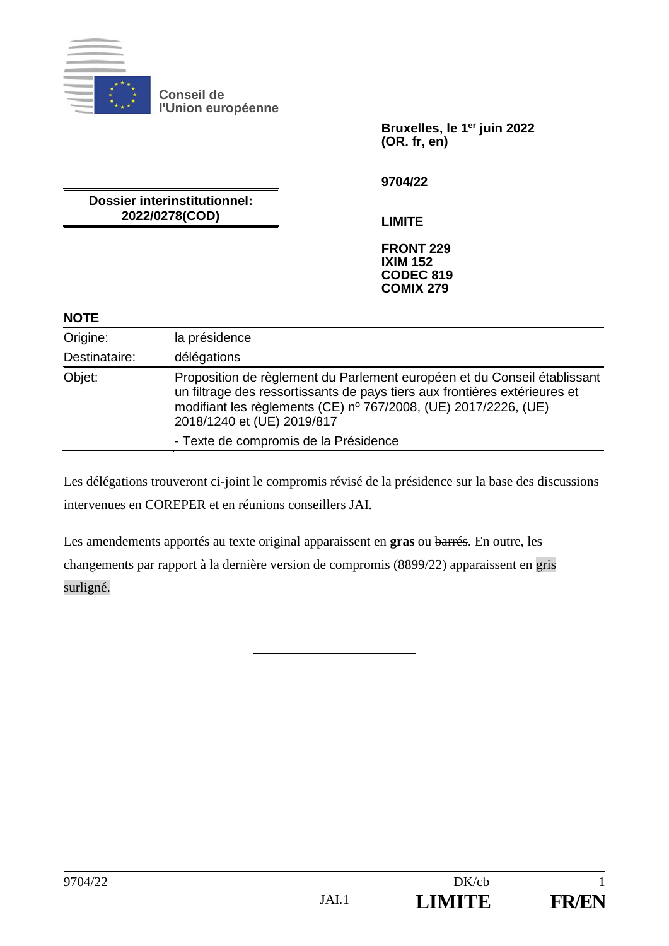

**Conseil de l'Union européenne**

> **Bruxelles, le 1er juin 2022 (OR. fr, en)**

**9704/22**

**Dossier interinstitutionnel: 2022/0278(COD)**

**LIMITE**

**FRONT 229 IXIM 152 CODEC 819 COMIX 279**

## **NOTE**

| Origine:      | la présidence                                                                                                                                                                                                                                           |
|---------------|---------------------------------------------------------------------------------------------------------------------------------------------------------------------------------------------------------------------------------------------------------|
| Destinataire: | délégations                                                                                                                                                                                                                                             |
| Objet:        | Proposition de règlement du Parlement européen et du Conseil établissant<br>un filtrage des ressortissants de pays tiers aux frontières extérieures et<br>modifiant les règlements (CE) nº 767/2008, (UE) 2017/2226, (UE)<br>2018/1240 et (UE) 2019/817 |
|               | - Texte de compromis de la Présidence                                                                                                                                                                                                                   |

Les délégations trouveront ci-joint le compromis révisé de la présidence sur la base des discussions intervenues en COREPER et en réunions conseillers JAI.

Les amendements apportés au texte original apparaissent en **gras** ou barrés. En outre, les changements par rapport à la dernière version de compromis (8899/22) apparaissent en gris surligné.

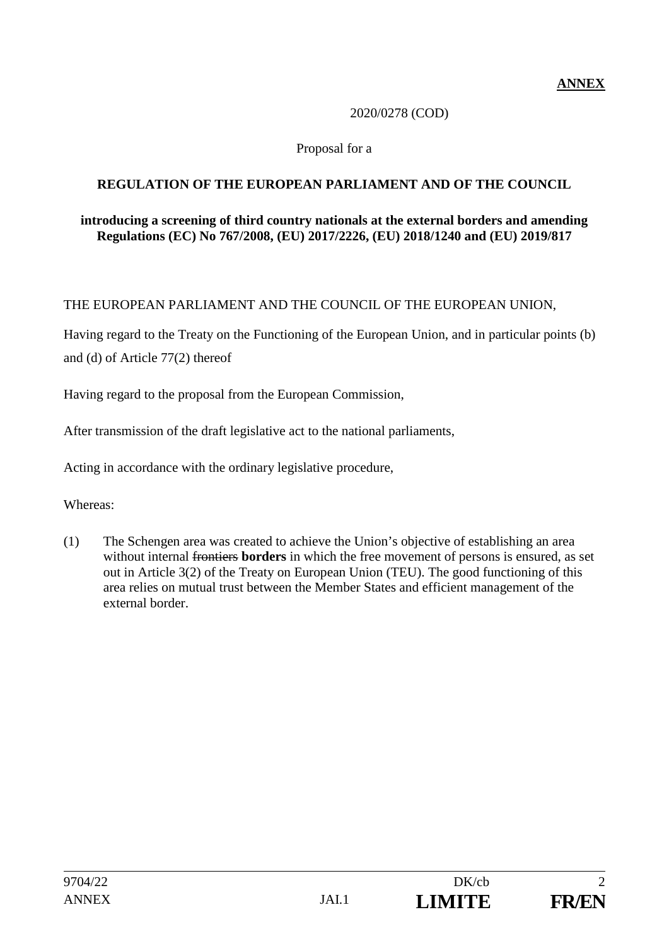**ANNEX**

# 2020/0278 (COD)

# Proposal for a

# **REGULATION OF THE EUROPEAN PARLIAMENT AND OF THE COUNCIL**

#### **introducing a screening of third country nationals at the external borders and amending Regulations (EC) No 767/2008, (EU) 2017/2226, (EU) 2018/1240 and (EU) 2019/817**

# THE EUROPEAN PARLIAMENT AND THE COUNCIL OF THE EUROPEAN UNION,

Having regard to the Treaty on the Functioning of the European Union, and in particular points (b) and (d) of Article 77(2) thereof

Having regard to the proposal from the European Commission,

After transmission of the draft legislative act to the national parliaments,

Acting in accordance with the ordinary legislative procedure,

Whereas:

(1) The Schengen area was created to achieve the Union's objective of establishing an area without internal frontiers **borders** in which the free movement of persons is ensured, as set out in Article 3(2) of the Treaty on European Union (TEU). The good functioning of this area relies on mutual trust between the Member States and efficient management of the external border.

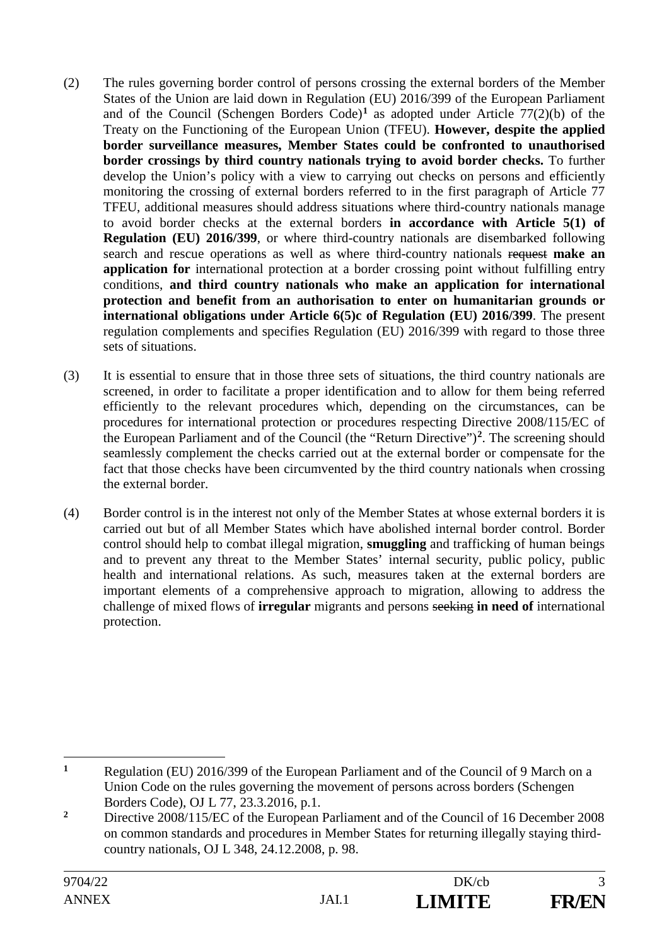- (2) The rules governing border control of persons crossing the external borders of the Member States of the Union are laid down in Regulation (EU) 2016/399 of the European Parliament and of the Council (Schengen Borders Code)<sup>1</sup> as adopted under Article 77(2)(b) of the Treaty on the Functioning of the European Union (TFEU). **However, despite the applied border surveillance measures, Member States could be confronted to unauthorised border crossings by third country nationals trying to avoid border checks.** To further develop the Union's policy with a view to carrying out checks on persons and efficiently monitoring the crossing of external borders referred to in the first paragraph of Article 77 TFEU, additional measures should address situations where third-country nationals manage to avoid border checks at the external borders **in accordance with Article 5(1) of Regulation (EU) 2016/399**, or where third-country nationals are disembarked following search and rescue operations as well as where third-country nationals request **make an application for** international protection at a border crossing point without fulfilling entry conditions, **and third country nationals who make an application for international protection and benefit from an authorisation to enter on humanitarian grounds or international obligations under Article 6(5)c of Regulation (EU) 2016/399**. The present regulation complements and specifies Regulation (EU) 2016/399 with regard to those three sets of situations.
- (3) It is essential to ensure that in those three sets of situations, the third country nationals are screened, in order to facilitate a proper identification and to allow for them being referred efficiently to the relevant procedures which, depending on the circumstances, can be procedures for international protection or procedures respecting Directive 2008/115/EC of the European Parliament and of the Council (the "Return Directive")**<sup>2</sup>**. The screening should seamlessly complement the checks carried out at the external border or compensate for the fact that those checks have been circumvented by the third country nationals when crossing the external border.
- (4) Border control is in the interest not only of the Member States at whose external borders it is carried out but of all Member States which have abolished internal border control. Border control should help to combat illegal migration, **smuggling** and trafficking of human beings and to prevent any threat to the Member States' internal security, public policy, public health and international relations. As such, measures taken at the external borders are important elements of a comprehensive approach to migration, allowing to address the challenge of mixed flows of **irregular** migrants and persons seeking **in need of** international protection.

<sup>&</sup>lt;u>.</u> **<sup>1</sup>** Regulation (EU) 2016/399 of the European Parliament and of the Council of 9 March on a Union Code on the rules governing the movement of persons across borders (Schengen Borders Code), OJ L 77, 23.3.2016, p.1.

<sup>&</sup>lt;sup>2</sup> Directive 2008/115/EC of the European Parliament and of the Council of 16 December 2008 on common standards and procedures in Member States for returning illegally staying thirdcountry nationals, OJ L 348, 24.12.2008, p. 98.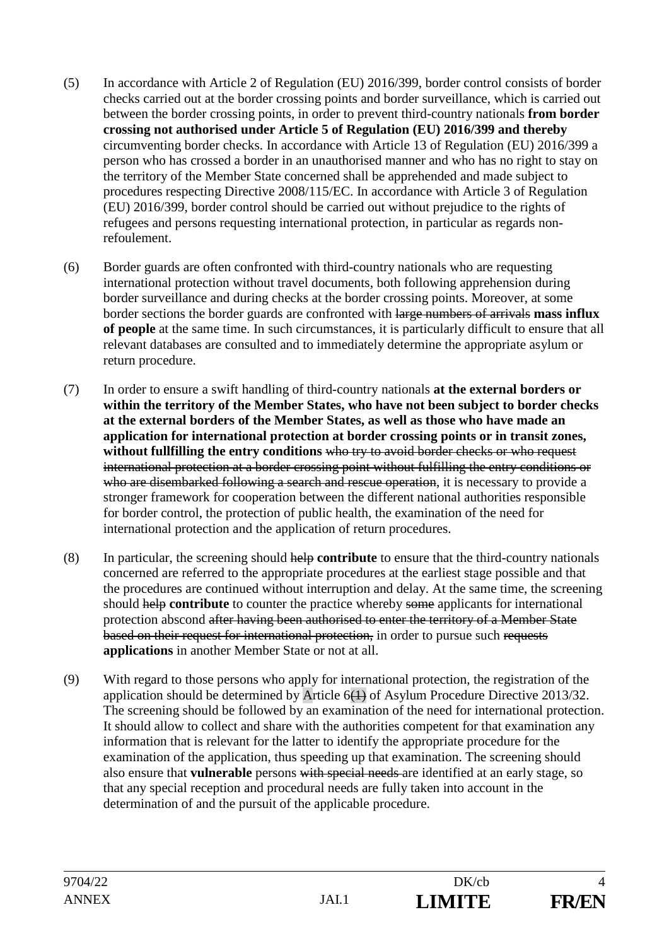- (5) In accordance with Article 2 of Regulation (EU) 2016/399, border control consists of border checks carried out at the border crossing points and border surveillance, which is carried out between the border crossing points, in order to prevent third-country nationals **from border crossing not authorised under Article 5 of Regulation (EU) 2016/399 and thereby** circumventing border checks. In accordance with Article 13 of Regulation (EU) 2016/399 a person who has crossed a border in an unauthorised manner and who has no right to stay on the territory of the Member State concerned shall be apprehended and made subject to procedures respecting Directive 2008/115/EC. In accordance with Article 3 of Regulation (EU) 2016/399, border control should be carried out without prejudice to the rights of refugees and persons requesting international protection, in particular as regards nonrefoulement.
- (6) Border guards are often confronted with third-country nationals who are requesting international protection without travel documents, both following apprehension during border surveillance and during checks at the border crossing points. Moreover, at some border sections the border guards are confronted with large numbers of arrivals **mass influx of people** at the same time. In such circumstances, it is particularly difficult to ensure that all relevant databases are consulted and to immediately determine the appropriate asylum or return procedure.
- (7) In order to ensure a swift handling of third-country nationals **at the external borders or within the territory of the Member States, who have not been subject to border checks at the external borders of the Member States, as well as those who have made an application for international protection at border crossing points or in transit zones, without fullfilling the entry conditions** who try to avoid border checks or who request international protection at a border crossing point without fulfilling the entry conditions or who are disembarked following a search and rescue operation, it is necessary to provide a stronger framework for cooperation between the different national authorities responsible for border control, the protection of public health, the examination of the need for international protection and the application of return procedures.
- (8) In particular, the screening should help **contribute** to ensure that the third-country nationals concerned are referred to the appropriate procedures at the earliest stage possible and that the procedures are continued without interruption and delay. At the same time, the screening should help **contribute** to counter the practice whereby some applicants for international protection abscond after having been authorised to enter the territory of a Member State based on their request for international protection, in order to pursue such requests **applications** in another Member State or not at all.
- (9) With regard to those persons who apply for international protection, the registration of the application should be determined by Article 6(1) of Asylum Procedure Directive 2013/32. The screening should be followed by an examination of the need for international protection. It should allow to collect and share with the authorities competent for that examination any information that is relevant for the latter to identify the appropriate procedure for the examination of the application, thus speeding up that examination. The screening should also ensure that **vulnerable** persons with special needs are identified at an early stage, so that any special reception and procedural needs are fully taken into account in the determination of and the pursuit of the applicable procedure.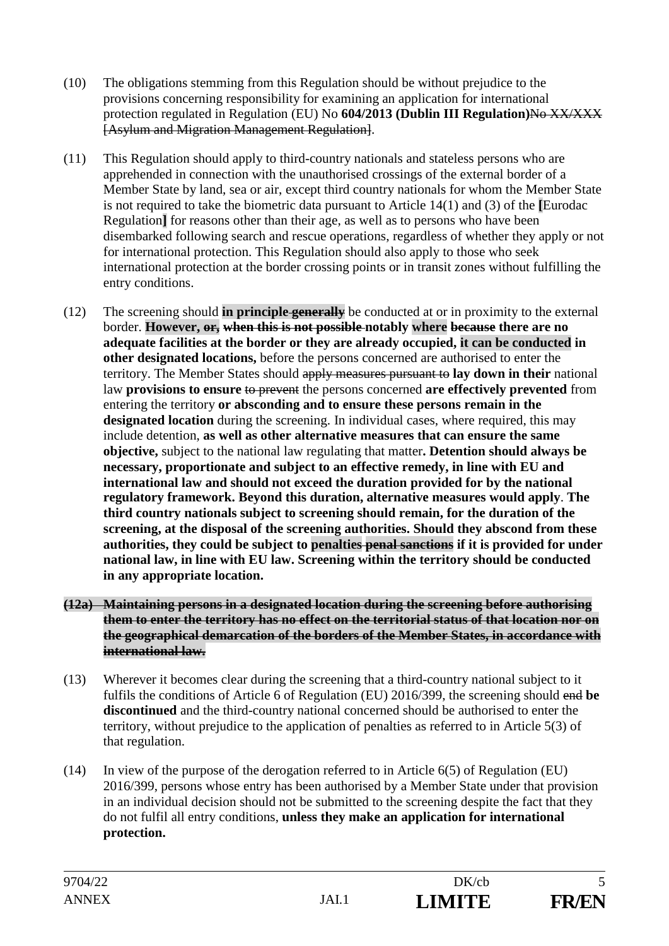- (10) The obligations stemming from this Regulation should be without prejudice to the provisions concerning responsibility for examining an application for international protection regulated in Regulation (EU) No **604/2013 (Dublin III Regulation)**No XX/XXX [Asylum and Migration Management Regulation].
- (11) This Regulation should apply to third-country nationals and stateless persons who are apprehended in connection with the unauthorised crossings of the external border of a Member State by land, sea or air, except third country nationals for whom the Member State is not required to take the biometric data pursuant to Article 14(1) and (3) of the **[**Eurodac Regulation**]** for reasons other than their age, as well as to persons who have been disembarked following search and rescue operations, regardless of whether they apply or not for international protection. This Regulation should also apply to those who seek international protection at the border crossing points or in transit zones without fulfilling the entry conditions.
- (12) The screening should **in principle generally** be conducted at or in proximity to the external border. **However, or, when this is not possible notably where because there are no adequate facilities at the border or they are already occupied, it can be conducted in other designated locations,** before the persons concerned are authorised to enter the territory. The Member States should apply measures pursuant to **lay down in their** national law **provisions to ensure** to prevent the persons concerned **are effectively prevented** from entering the territory **or absconding and to ensure these persons remain in the designated location** during the screening. In individual cases, where required, this may include detention, **as well as other alternative measures that can ensure the same objective,** subject to the national law regulating that matter**. Detention should always be necessary, proportionate and subject to an effective remedy, in line with EU and international law and should not exceed the duration provided for by the national regulatory framework. Beyond this duration, alternative measures would apply**. **The third country nationals subject to screening should remain, for the duration of the screening, at the disposal of the screening authorities. Should they abscond from these authorities, they could be subject to penalties penal sanctions if it is provided for under national law, in line with EU law. Screening within the territory should be conducted in any appropriate location.**
- **(12a) Maintaining persons in a designated location during the screening before authorising them to enter the territory has no effect on the territorial status of that location nor on the geographical demarcation of the borders of the Member States, in accordance with international law.**
- (13) Wherever it becomes clear during the screening that a third-country national subject to it fulfils the conditions of Article 6 of Regulation (EU) 2016/399, the screening should end **be discontinued** and the third-country national concerned should be authorised to enter the territory, without prejudice to the application of penalties as referred to in Article 5(3) of that regulation.
- (14) In view of the purpose of the derogation referred to in Article 6(5) of Regulation (EU) 2016/399, persons whose entry has been authorised by a Member State under that provision in an individual decision should not be submitted to the screening despite the fact that they do not fulfil all entry conditions, **unless they make an application for international protection.**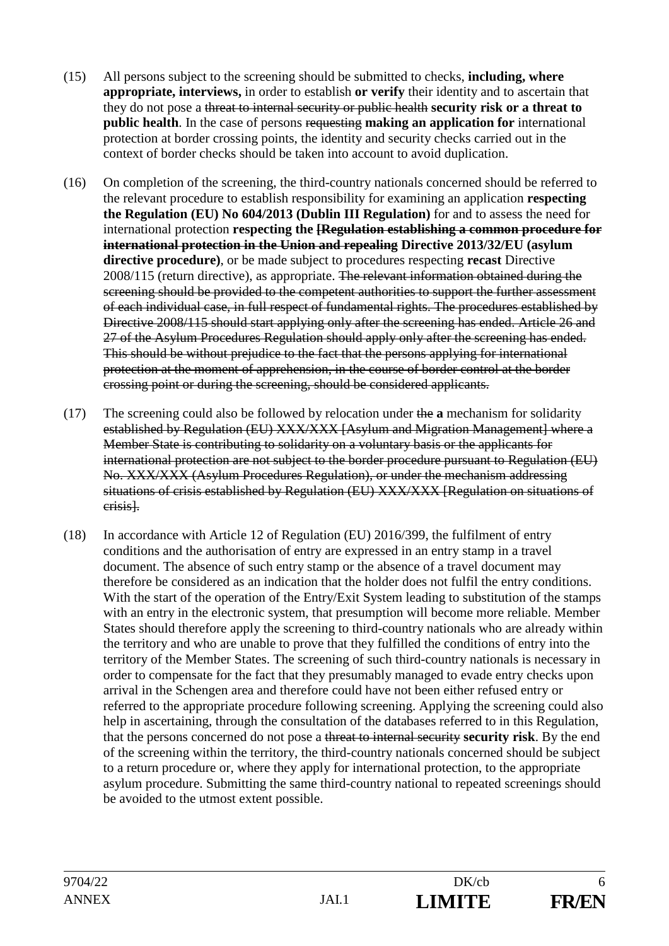- (15) All persons subject to the screening should be submitted to checks, **including, where appropriate, interviews,** in order to establish **or verify** their identity and to ascertain that they do not pose a threat to internal security or public health **security risk or a threat to public health**. In the case of persons requesting **making an application for** international protection at border crossing points, the identity and security checks carried out in the context of border checks should be taken into account to avoid duplication.
- (16) On completion of the screening, the third-country nationals concerned should be referred to the relevant procedure to establish responsibility for examining an application **respecting the Regulation (EU) No 604/2013 (Dublin III Regulation)** for and to assess the need for international protection **respecting the [Regulation establishing a common procedure for international protection in the Union and repealing Directive 2013/32/EU (asylum directive procedure)**, or be made subject to procedures respecting **recast** Directive 2008/115 (return directive), as appropriate. The relevant information obtained during the screening should be provided to the competent authorities to support the further assessment of each individual case, in full respect of fundamental rights. The procedures established by Directive 2008/115 should start applying only after the screening has ended. Article 26 and 27 of the Asylum Procedures Regulation should apply only after the screening has ended. This should be without prejudice to the fact that the persons applying for international protection at the moment of apprehension, in the course of border control at the border crossing point or during the screening, should be considered applicants.
- (17) The screening could also be followed by relocation under the **a** mechanism for solidarity established by Regulation (EU) XXX/XXX [Asylum and Migration Management] where a Member State is contributing to solidarity on a voluntary basis or the applicants for international protection are not subject to the border procedure pursuant to Regulation (EU) No. XXX/XXX (Asylum Procedures Regulation), or under the mechanism addressing situations of crisis established by Regulation (EU) XXX/XXX [Regulation on situations of crisis].
- (18) In accordance with Article 12 of Regulation (EU) 2016/399, the fulfilment of entry conditions and the authorisation of entry are expressed in an entry stamp in a travel document. The absence of such entry stamp or the absence of a travel document may therefore be considered as an indication that the holder does not fulfil the entry conditions. With the start of the operation of the Entry/Exit System leading to substitution of the stamps with an entry in the electronic system, that presumption will become more reliable. Member States should therefore apply the screening to third-country nationals who are already within the territory and who are unable to prove that they fulfilled the conditions of entry into the territory of the Member States. The screening of such third-country nationals is necessary in order to compensate for the fact that they presumably managed to evade entry checks upon arrival in the Schengen area and therefore could have not been either refused entry or referred to the appropriate procedure following screening. Applying the screening could also help in ascertaining, through the consultation of the databases referred to in this Regulation, that the persons concerned do not pose a threat to internal security **security risk**. By the end of the screening within the territory, the third-country nationals concerned should be subject to a return procedure or, where they apply for international protection, to the appropriate asylum procedure. Submitting the same third-country national to repeated screenings should be avoided to the utmost extent possible.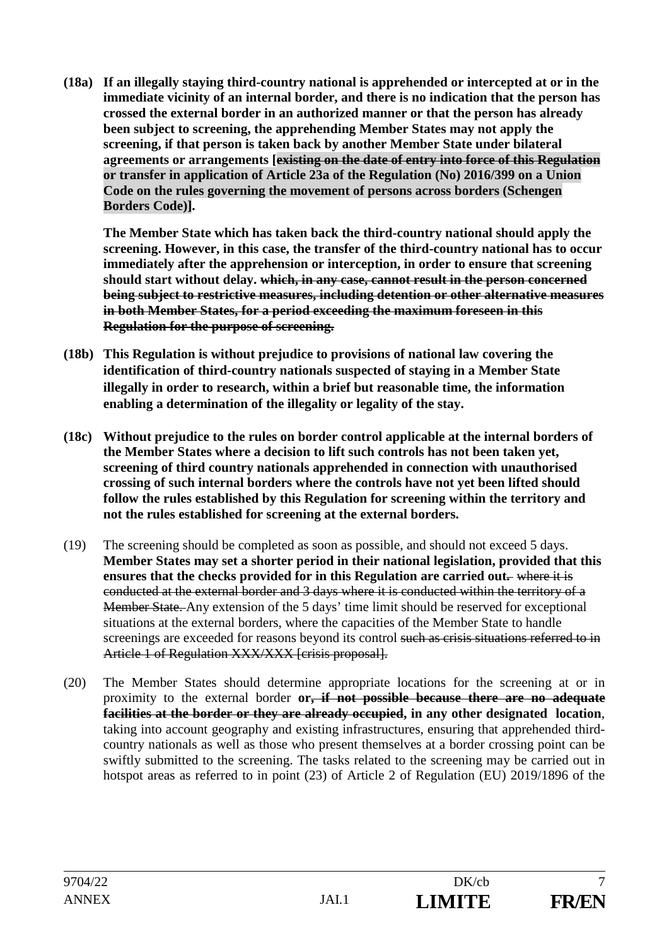**(18a) If an illegally staying third-country national is apprehended or intercepted at or in the immediate vicinity of an internal border, and there is no indication that the person has crossed the external border in an authorized manner or that the person has already been subject to screening, the apprehending Member States may not apply the screening, if that person is taken back by another Member State under bilateral agreements or arrangements [existing on the date of entry into force of this Regulation or transfer in application of Article 23a of the Regulation (No) 2016/399 on a Union Code on the rules governing the movement of persons across borders (Schengen Borders Code)].** 

**The Member State which has taken back the third-country national should apply the screening. However, in this case, the transfer of the third-country national has to occur immediately after the apprehension or interception, in order to ensure that screening should start without delay. which, in any case, cannot result in the person concerned being subject to restrictive measures, including detention or other alternative measures in both Member States, for a period exceeding the maximum foreseen in this Regulation for the purpose of screening.**

- **(18b) This Regulation is without prejudice to provisions of national law covering the identification of third-country nationals suspected of staying in a Member State illegally in order to research, within a brief but reasonable time, the information enabling a determination of the illegality or legality of the stay.**
- **(18c) Without prejudice to the rules on border control applicable at the internal borders of the Member States where a decision to lift such controls has not been taken yet, screening of third country nationals apprehended in connection with unauthorised crossing of such internal borders where the controls have not yet been lifted should follow the rules established by this Regulation for screening within the territory and not the rules established for screening at the external borders.**
- (19) The screening should be completed as soon as possible, and should not exceed 5 days. **Member States may set a shorter period in their national legislation, provided that this ensures that the checks provided for in this Regulation are carried out-** where it is conducted at the external border and 3 days where it is conducted within the territory of a Member State. Any extension of the 5 days' time limit should be reserved for exceptional situations at the external borders, where the capacities of the Member State to handle screenings are exceeded for reasons beyond its control such as crisis situations referred to in Article 1 of Regulation XXX/XXX [crisis proposal].
- (20) The Member States should determine appropriate locations for the screening at or in proximity to the external border **or, if not possible because there are no adequate facilities at the border or they are already occupied, in any other designated location**, taking into account geography and existing infrastructures, ensuring that apprehended thirdcountry nationals as well as those who present themselves at a border crossing point can be swiftly submitted to the screening. The tasks related to the screening may be carried out in hotspot areas as referred to in point (23) of Article 2 of Regulation (EU) 2019/1896 of the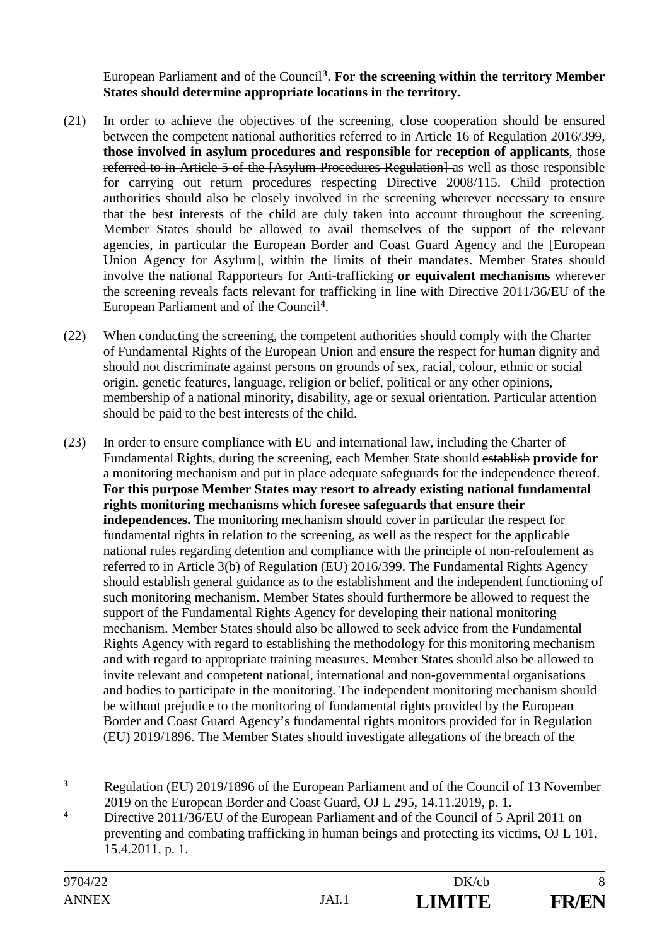European Parliament and of the Council**<sup>3</sup>**. **For the screening within the territory Member States should determine appropriate locations in the territory.**

- (21) In order to achieve the objectives of the screening, close cooperation should be ensured between the competent national authorities referred to in Article 16 of Regulation 2016/399, **those involved in asylum procedures and responsible for reception of applicants**, those referred to in Article 5 of the [Asylum Procedures Regulation] as well as those responsible for carrying out return procedures respecting Directive 2008/115. Child protection authorities should also be closely involved in the screening wherever necessary to ensure that the best interests of the child are duly taken into account throughout the screening. Member States should be allowed to avail themselves of the support of the relevant agencies, in particular the European Border and Coast Guard Agency and the [European Union Agency for Asylum], within the limits of their mandates. Member States should involve the national Rapporteurs for Anti-trafficking **or equivalent mechanisms** wherever the screening reveals facts relevant for trafficking in line with Directive 2011/36/EU of the European Parliament and of the Council**<sup>4</sup>**.
- (22) When conducting the screening, the competent authorities should comply with the Charter of Fundamental Rights of the European Union and ensure the respect for human dignity and should not discriminate against persons on grounds of sex, racial, colour, ethnic or social origin, genetic features, language, religion or belief, political or any other opinions, membership of a national minority, disability, age or sexual orientation. Particular attention should be paid to the best interests of the child.
- (23) In order to ensure compliance with EU and international law, including the Charter of Fundamental Rights, during the screening, each Member State should establish **provide for** a monitoring mechanism and put in place adequate safeguards for the independence thereof. **For this purpose Member States may resort to already existing national fundamental rights monitoring mechanisms which foresee safeguards that ensure their independences.** The monitoring mechanism should cover in particular the respect for fundamental rights in relation to the screening, as well as the respect for the applicable national rules regarding detention and compliance with the principle of non-refoulement as referred to in Article 3(b) of Regulation (EU) 2016/399. The Fundamental Rights Agency should establish general guidance as to the establishment and the independent functioning of such monitoring mechanism. Member States should furthermore be allowed to request the support of the Fundamental Rights Agency for developing their national monitoring mechanism. Member States should also be allowed to seek advice from the Fundamental Rights Agency with regard to establishing the methodology for this monitoring mechanism and with regard to appropriate training measures. Member States should also be allowed to invite relevant and competent national, international and non-governmental organisations and bodies to participate in the monitoring. The independent monitoring mechanism should be without prejudice to the monitoring of fundamental rights provided by the European Border and Coast Guard Agency's fundamental rights monitors provided for in Regulation (EU) 2019/1896. The Member States should investigate allegations of the breach of the

 $\mathbf{3}$ **<sup>3</sup>** Regulation (EU) 2019/1896 of the European Parliament and of the Council of 13 November 2019 on the European Border and Coast Guard, OJ L 295, 14.11.2019, p. 1.

<sup>&</sup>lt;sup>4</sup> Directive 2011/36/EU of the European Parliament and of the Council of 5 April 2011 on preventing and combating trafficking in human beings and protecting its victims, OJ L 101, 15.4.2011, p. 1.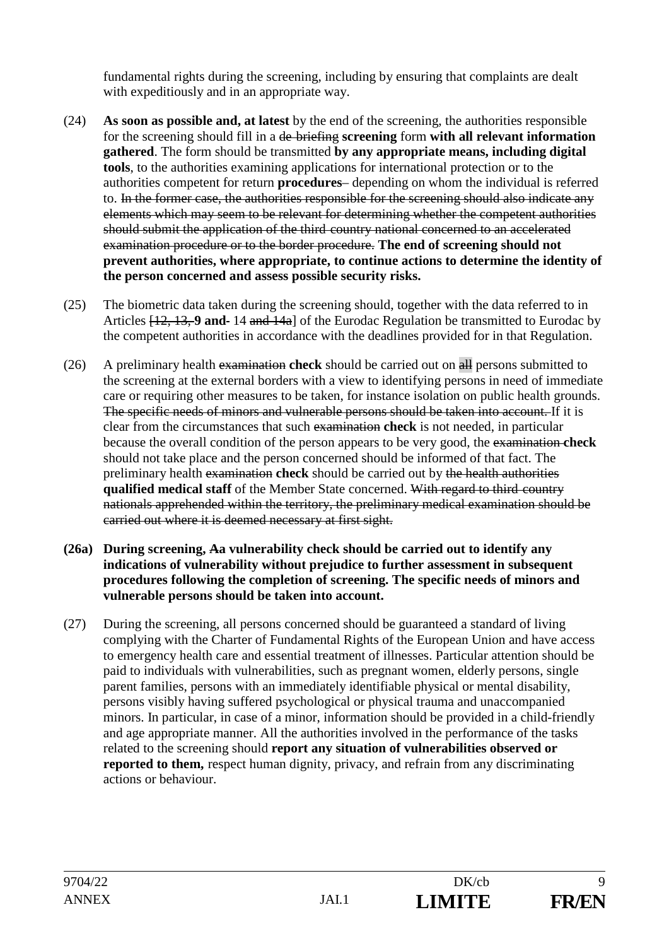fundamental rights during the screening, including by ensuring that complaints are dealt with expeditiously and in an appropriate way.

- (24) **As soon as possible and, at latest** by the end of the screening, the authorities responsible for the screening should fill in a de briefing **screening** form **with all relevant information gathered**. The form should be transmitted **by any appropriate means, including digital tools**, to the authorities examining applications for international protection or to the authorities competent for return **procedures**– depending on whom the individual is referred to. In the former case, the authorities responsible for the screening should also indicate any elements which may seem to be relevant for determining whether the competent authorities should submit the application of the third country national concerned to an accelerated examination procedure or to the border procedure. **The end of screening should not prevent authorities, where appropriate, to continue actions to determine the identity of the person concerned and assess possible security risks.**
- (25) The biometric data taken during the screening should, together with the data referred to in Articles [12, 13, **9 and** 14 and 14a] of the Eurodac Regulation be transmitted to Eurodac by the competent authorities in accordance with the deadlines provided for in that Regulation.
- (26) A preliminary health examination **check** should be carried out on all persons submitted to the screening at the external borders with a view to identifying persons in need of immediate care or requiring other measures to be taken, for instance isolation on public health grounds. The specific needs of minors and vulnerable persons should be taken into account. If it is clear from the circumstances that such examination **check** is not needed, in particular because the overall condition of the person appears to be very good, the examination **check** should not take place and the person concerned should be informed of that fact. The preliminary health examination **check** should be carried out by the health authorities **qualified medical staff** of the Member State concerned. With regard to third country nationals apprehended within the territory, the preliminary medical examination should be carried out where it is deemed necessary at first sight.
- **(26a) During screening, Aa vulnerability check should be carried out to identify any indications of vulnerability without prejudice to further assessment in subsequent procedures following the completion of screening. The specific needs of minors and vulnerable persons should be taken into account.**
- (27) During the screening, all persons concerned should be guaranteed a standard of living complying with the Charter of Fundamental Rights of the European Union and have access to emergency health care and essential treatment of illnesses. Particular attention should be paid to individuals with vulnerabilities, such as pregnant women, elderly persons, single parent families, persons with an immediately identifiable physical or mental disability, persons visibly having suffered psychological or physical trauma and unaccompanied minors. In particular, in case of a minor, information should be provided in a child-friendly and age appropriate manner. All the authorities involved in the performance of the tasks related to the screening should **report any situation of vulnerabilities observed or reported to them,** respect human dignity, privacy, and refrain from any discriminating actions or behaviour.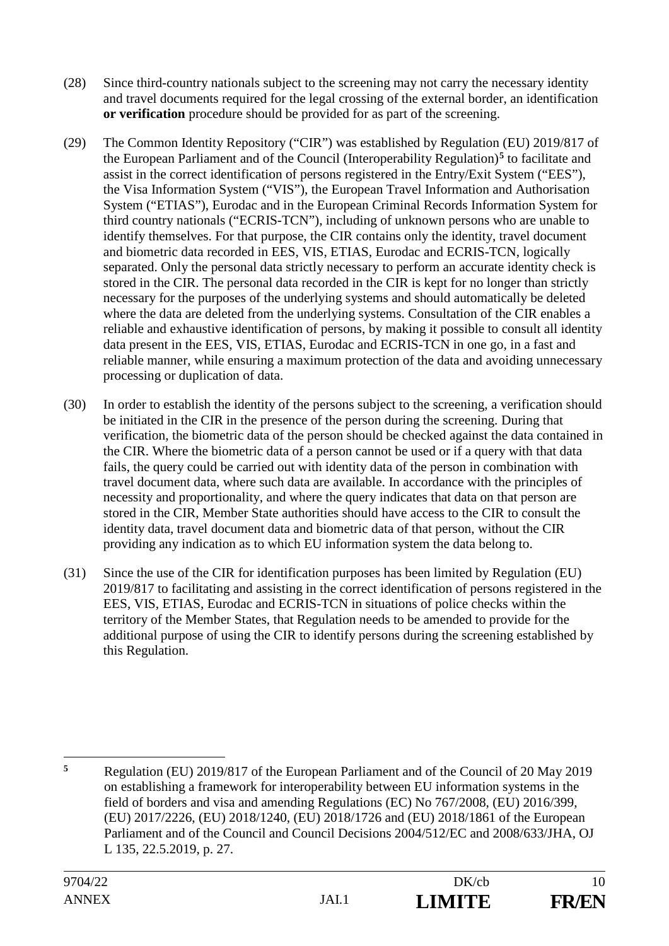- (28) Since third-country nationals subject to the screening may not carry the necessary identity and travel documents required for the legal crossing of the external border, an identification **or verification** procedure should be provided for as part of the screening.
- (29) The Common Identity Repository ("CIR") was established by Regulation (EU) 2019/817 of the European Parliament and of the Council (Interoperability Regulation)**<sup>5</sup>** to facilitate and assist in the correct identification of persons registered in the Entry/Exit System ("EES"), the Visa Information System ("VIS"), the European Travel Information and Authorisation System ("ETIAS"), Eurodac and in the European Criminal Records Information System for third country nationals ("ECRIS-TCN"), including of unknown persons who are unable to identify themselves. For that purpose, the CIR contains only the identity, travel document and biometric data recorded in EES, VIS, ETIAS, Eurodac and ECRIS-TCN, logically separated. Only the personal data strictly necessary to perform an accurate identity check is stored in the CIR. The personal data recorded in the CIR is kept for no longer than strictly necessary for the purposes of the underlying systems and should automatically be deleted where the data are deleted from the underlying systems. Consultation of the CIR enables a reliable and exhaustive identification of persons, by making it possible to consult all identity data present in the EES, VIS, ETIAS, Eurodac and ECRIS-TCN in one go, in a fast and reliable manner, while ensuring a maximum protection of the data and avoiding unnecessary processing or duplication of data.
- (30) In order to establish the identity of the persons subject to the screening, a verification should be initiated in the CIR in the presence of the person during the screening. During that verification, the biometric data of the person should be checked against the data contained in the CIR. Where the biometric data of a person cannot be used or if a query with that data fails, the query could be carried out with identity data of the person in combination with travel document data, where such data are available. In accordance with the principles of necessity and proportionality, and where the query indicates that data on that person are stored in the CIR, Member State authorities should have access to the CIR to consult the identity data, travel document data and biometric data of that person, without the CIR providing any indication as to which EU information system the data belong to.
- (31) Since the use of the CIR for identification purposes has been limited by Regulation (EU) 2019/817 to facilitating and assisting in the correct identification of persons registered in the EES, VIS, ETIAS, Eurodac and ECRIS-TCN in situations of police checks within the territory of the Member States, that Regulation needs to be amended to provide for the additional purpose of using the CIR to identify persons during the screening established by this Regulation.

 $\overline{\mathbf{5}}$ **<sup>5</sup>** Regulation (EU) 2019/817 of the European Parliament and of the Council of 20 May 2019 on establishing a framework for interoperability between EU information systems in the field of borders and visa and amending Regulations (EC) No 767/2008, (EU) 2016/399, (EU) 2017/2226, (EU) 2018/1240, (EU) 2018/1726 and (EU) 2018/1861 of the European Parliament and of the Council and Council Decisions 2004/512/EC and 2008/633/JHA, OJ L 135, 22.5.2019, p. 27.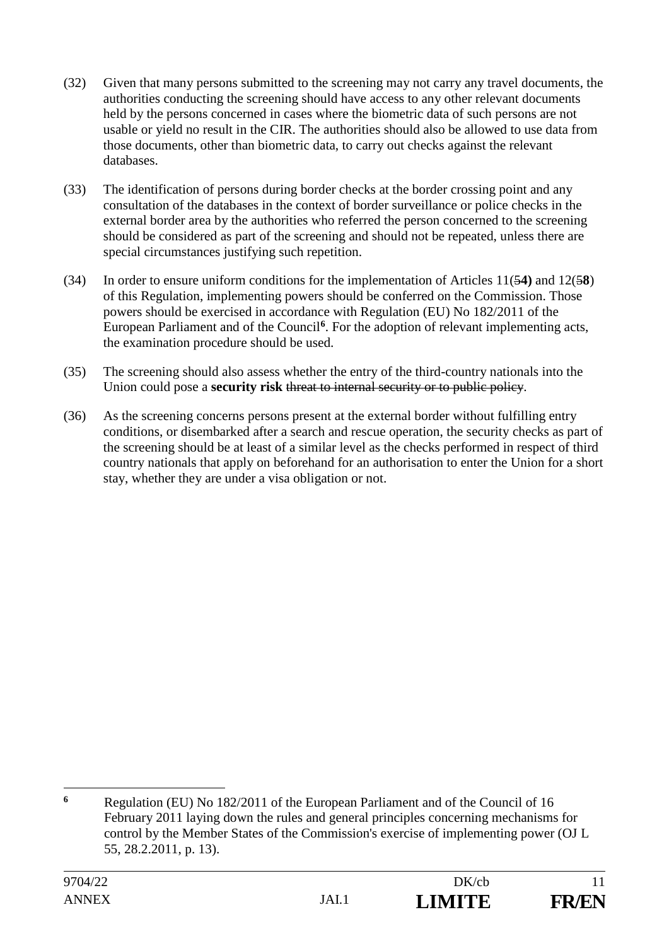- (32) Given that many persons submitted to the screening may not carry any travel documents, the authorities conducting the screening should have access to any other relevant documents held by the persons concerned in cases where the biometric data of such persons are not usable or yield no result in the CIR. The authorities should also be allowed to use data from those documents, other than biometric data, to carry out checks against the relevant databases.
- (33) The identification of persons during border checks at the border crossing point and any consultation of the databases in the context of border surveillance or police checks in the external border area by the authorities who referred the person concerned to the screening should be considered as part of the screening and should not be repeated, unless there are special circumstances justifying such repetition.
- (34) In order to ensure uniform conditions for the implementation of Articles 11(5**4)** and 12(5**8**) of this Regulation, implementing powers should be conferred on the Commission. Those powers should be exercised in accordance with Regulation (EU) No 182/2011 of the European Parliament and of the Council**<sup>6</sup>**. For the adoption of relevant implementing acts, the examination procedure should be used.
- (35) The screening should also assess whether the entry of the third-country nationals into the Union could pose a **security risk** threat to internal security or to public policy.
- (36) As the screening concerns persons present at the external border without fulfilling entry conditions, or disembarked after a search and rescue operation, the security checks as part of the screening should be at least of a similar level as the checks performed in respect of third country nationals that apply on beforehand for an authorisation to enter the Union for a short stay, whether they are under a visa obligation or not.

<sup>-</sup>**<sup>6</sup>** Regulation (EU) No 182/2011 of the European Parliament and of the Council of 16 February 2011 laying down the rules and general principles concerning mechanisms for control by the Member States of the Commission's exercise of implementing power (OJ L 55, 28.2.2011, p. 13).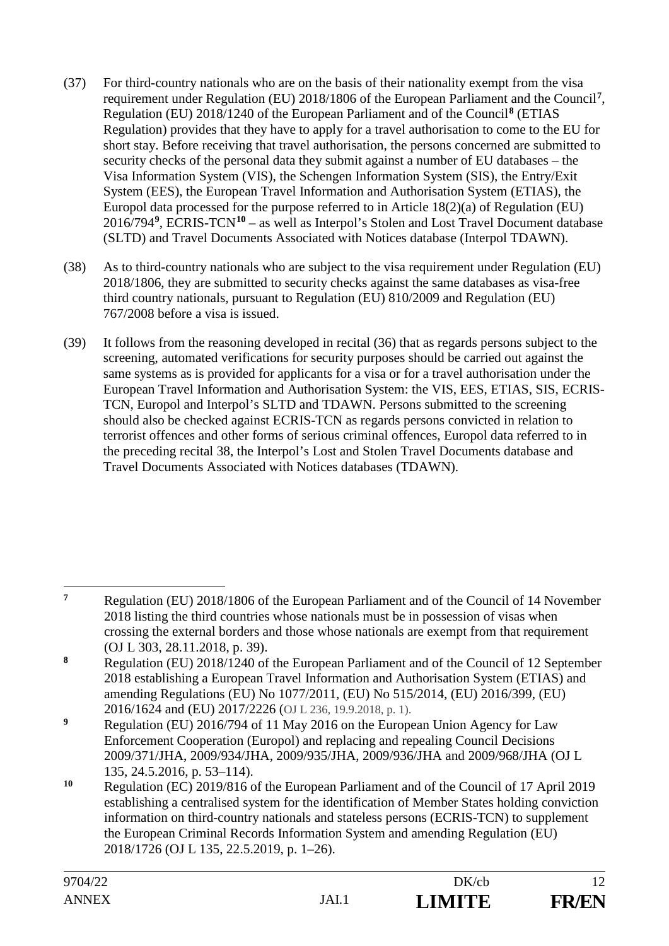- (37) For third-country nationals who are on the basis of their nationality exempt from the visa requirement under Regulation (EU) 2018/1806 of the European Parliament and the Council**<sup>7</sup>**, Regulation (EU) 2018/1240 of the European Parliament and of the Council**<sup>8</sup>** (ETIAS Regulation) provides that they have to apply for a travel authorisation to come to the EU for short stay. Before receiving that travel authorisation, the persons concerned are submitted to security checks of the personal data they submit against a number of EU databases – the Visa Information System (VIS), the Schengen Information System (SIS), the Entry/Exit System (EES), the European Travel Information and Authorisation System (ETIAS), the Europol data processed for the purpose referred to in Article 18(2)(a) of Regulation (EU) 2016/794**<sup>9</sup>**, ECRIS-TCN**<sup>10</sup>** – as well as Interpol's Stolen and Lost Travel Document database (SLTD) and Travel Documents Associated with Notices database (Interpol TDAWN).
- (38) As to third-country nationals who are subject to the visa requirement under Regulation (EU) 2018/1806, they are submitted to security checks against the same databases as visa-free third country nationals, pursuant to Regulation (EU) 810/2009 and Regulation (EU) 767/2008 before a visa is issued.
- (39) It follows from the reasoning developed in recital (36) that as regards persons subject to the screening, automated verifications for security purposes should be carried out against the same systems as is provided for applicants for a visa or for a travel authorisation under the European Travel Information and Authorisation System: the VIS, EES, ETIAS, SIS, ECRIS-TCN, Europol and Interpol's SLTD and TDAWN. Persons submitted to the screening should also be checked against ECRIS-TCN as regards persons convicted in relation to terrorist offences and other forms of serious criminal offences, Europol data referred to in the preceding recital 38, the Interpol's Lost and Stolen Travel Documents database and Travel Documents Associated with Notices databases (TDAWN).

 $\overline{7}$ **<sup>7</sup>** Regulation (EU) 2018/1806 of the European Parliament and of the Council of 14 November 2018 listing the third countries whose nationals must be in possession of visas when crossing the external borders and those whose nationals are exempt from that requirement (OJ L 303, 28.11.2018, p. 39).

**<sup>8</sup>** Regulation (EU) 2018/1240 of the European Parliament and of the Council of 12 September 2018 establishing a European Travel Information and Authorisation System (ETIAS) and amending Regulations (EU) No 1077/2011, (EU) No 515/2014, (EU) 2016/399, (EU) 2016/1624 and (EU) 2017/2226 (OJ L 236, 19.9.2018, p. 1).

**<sup>9</sup>** Regulation (EU) 2016/794 of 11 May 2016 on the European Union Agency for Law Enforcement Cooperation (Europol) and replacing and repealing Council Decisions 2009/371/JHA, 2009/934/JHA, 2009/935/JHA, 2009/936/JHA and 2009/968/JHA (OJ L 135, 24.5.2016, p. 53–114).

**<sup>10</sup>** Regulation (EC) 2019/816 of the European Parliament and of the Council of 17 April 2019 establishing a centralised system for the identification of Member States holding conviction information on third-country nationals and stateless persons (ECRIS-TCN) to supplement the European Criminal Records Information System and amending Regulation (EU) 2018/1726 (OJ L 135, 22.5.2019, p. 1–26).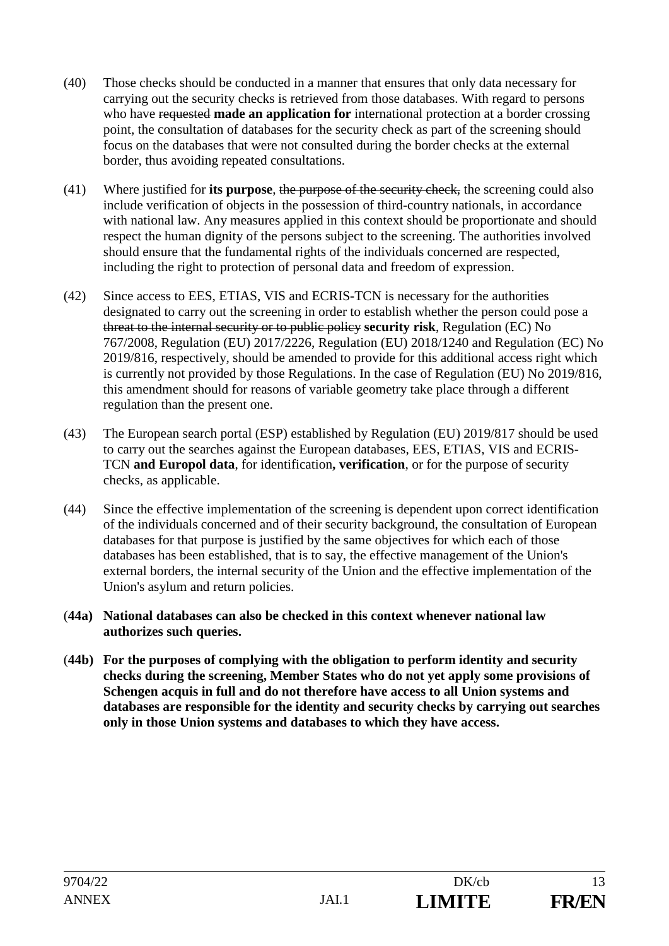- (40) Those checks should be conducted in a manner that ensures that only data necessary for carrying out the security checks is retrieved from those databases. With regard to persons who have requested **made an application for** international protection at a border crossing point, the consultation of databases for the security check as part of the screening should focus on the databases that were not consulted during the border checks at the external border, thus avoiding repeated consultations.
- (41) Where justified for **its purpose**, the purpose of the security check, the screening could also include verification of objects in the possession of third-country nationals, in accordance with national law. Any measures applied in this context should be proportionate and should respect the human dignity of the persons subject to the screening. The authorities involved should ensure that the fundamental rights of the individuals concerned are respected, including the right to protection of personal data and freedom of expression.
- (42) Since access to EES, ETIAS, VIS and ECRIS-TCN is necessary for the authorities designated to carry out the screening in order to establish whether the person could pose a threat to the internal security or to public policy **security risk**, Regulation (EC) No 767/2008, Regulation (EU) 2017/2226, Regulation (EU) 2018/1240 and Regulation (EC) No 2019/816, respectively, should be amended to provide for this additional access right which is currently not provided by those Regulations. In the case of Regulation (EU) No 2019/816, this amendment should for reasons of variable geometry take place through a different regulation than the present one.
- (43) The European search portal (ESP) established by Regulation (EU) 2019/817 should be used to carry out the searches against the European databases, EES, ETIAS, VIS and ECRIS-TCN **and Europol data**, for identification**, verification**, or for the purpose of security checks, as applicable.
- (44) Since the effective implementation of the screening is dependent upon correct identification of the individuals concerned and of their security background, the consultation of European databases for that purpose is justified by the same objectives for which each of those databases has been established, that is to say, the effective management of the Union's external borders, the internal security of the Union and the effective implementation of the Union's asylum and return policies.
- (**44a) National databases can also be checked in this context whenever national law authorizes such queries.**
- (**44b) For the purposes of complying with the obligation to perform identity and security checks during the screening, Member States who do not yet apply some provisions of Schengen acquis in full and do not therefore have access to all Union systems and databases are responsible for the identity and security checks by carrying out searches only in those Union systems and databases to which they have access.**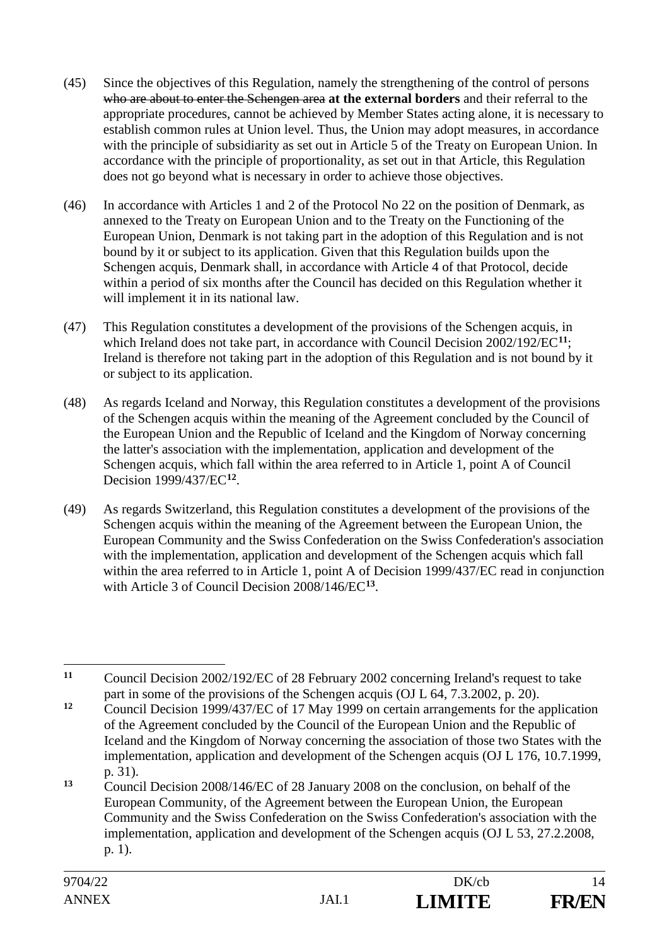- (45) Since the objectives of this Regulation, namely the strengthening of the control of persons who are about to enter the Schengen area **at the external borders** and their referral to the appropriate procedures, cannot be achieved by Member States acting alone, it is necessary to establish common rules at Union level. Thus, the Union may adopt measures, in accordance with the principle of subsidiarity as set out in Article 5 of the Treaty on European Union. In accordance with the principle of proportionality, as set out in that Article, this Regulation does not go beyond what is necessary in order to achieve those objectives.
- (46) In accordance with Articles 1 and 2 of the Protocol No 22 on the position of Denmark, as annexed to the Treaty on European Union and to the Treaty on the Functioning of the European Union, Denmark is not taking part in the adoption of this Regulation and is not bound by it or subject to its application. Given that this Regulation builds upon the Schengen acquis, Denmark shall, in accordance with Article 4 of that Protocol, decide within a period of six months after the Council has decided on this Regulation whether it will implement it in its national law.
- (47) This Regulation constitutes a development of the provisions of the Schengen acquis, in which Ireland does not take part, in accordance with Council Decision 2002/192/EC<sup>11</sup>; Ireland is therefore not taking part in the adoption of this Regulation and is not bound by it or subject to its application.
- (48) As regards Iceland and Norway, this Regulation constitutes a development of the provisions of the Schengen acquis within the meaning of the Agreement concluded by the Council of the European Union and the Republic of Iceland and the Kingdom of Norway concerning the latter's association with the implementation, application and development of the Schengen acquis, which fall within the area referred to in Article 1, point A of Council Decision 1999/437/EC**<sup>12</sup>**.
- (49) As regards Switzerland, this Regulation constitutes a development of the provisions of the Schengen acquis within the meaning of the Agreement between the European Union, the European Community and the Swiss Confederation on the Swiss Confederation's association with the implementation, application and development of the Schengen acquis which fall within the area referred to in Article 1, point A of Decision 1999/437/EC read in conjunction with Article 3 of Council Decision 2008/146/EC**<sup>13</sup>**.

 $11$ **<sup>11</sup>** Council Decision 2002/192/EC of 28 February 2002 concerning Ireland's request to take part in some of the provisions of the Schengen acquis (OJ L 64, 7.3.2002, p. 20).

**<sup>12</sup>** Council Decision 1999/437/EC of 17 May 1999 on certain arrangements for the application of the Agreement concluded by the Council of the European Union and the Republic of Iceland and the Kingdom of Norway concerning the association of those two States with the implementation, application and development of the Schengen acquis (OJ L 176, 10.7.1999, p. 31).

**<sup>13</sup>** Council Decision 2008/146/EC of 28 January 2008 on the conclusion, on behalf of the European Community, of the Agreement between the European Union, the European Community and the Swiss Confederation on the Swiss Confederation's association with the implementation, application and development of the Schengen acquis (OJ L 53, 27.2.2008, p. 1).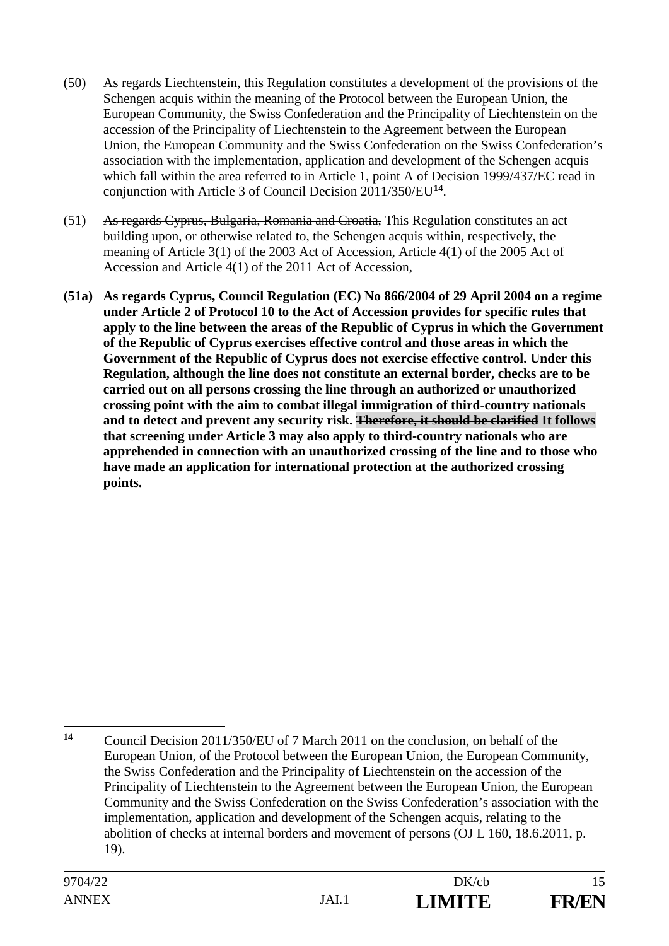- (50) As regards Liechtenstein, this Regulation constitutes a development of the provisions of the Schengen acquis within the meaning of the Protocol between the European Union, the European Community, the Swiss Confederation and the Principality of Liechtenstein on the accession of the Principality of Liechtenstein to the Agreement between the European Union, the European Community and the Swiss Confederation on the Swiss Confederation's association with the implementation, application and development of the Schengen acquis which fall within the area referred to in Article 1, point A of Decision 1999/437/EC read in conjunction with Article 3 of Council Decision 2011/350/EU**<sup>14</sup>**.
- (51) As regards Cyprus, Bulgaria, Romania and Croatia, This Regulation constitutes an act building upon, or otherwise related to, the Schengen acquis within, respectively, the meaning of Article 3(1) of the 2003 Act of Accession, Article 4(1) of the 2005 Act of Accession and Article 4(1) of the 2011 Act of Accession,
- **(51a) As regards Cyprus, Council Regulation (EC) No 866/2004 of 29 April 2004 on a regime under Article 2 of Protocol 10 to the Act of Accession provides for specific rules that apply to the line between the areas of the Republic of Cyprus in which the Government of the Republic of Cyprus exercises effective control and those areas in which the Government of the Republic of Cyprus does not exercise effective control. Under this Regulation, although the line does not constitute an external border, checks are to be carried out on all persons crossing the line through an authorized or unauthorized crossing point with the aim to combat illegal immigration of third-country nationals and to detect and prevent any security risk. Therefore, it should be clarified It follows that screening under Article 3 may also apply to third-country nationals who are apprehended in connection with an unauthorized crossing of the line and to those who have made an application for international protection at the authorized crossing points.**

<sup>&</sup>lt;u>.</u> **<sup>14</sup>** Council Decision 2011/350/EU of 7 March 2011 on the conclusion, on behalf of the European Union, of the Protocol between the European Union, the European Community, the Swiss Confederation and the Principality of Liechtenstein on the accession of the Principality of Liechtenstein to the Agreement between the European Union, the European Community and the Swiss Confederation on the Swiss Confederation's association with the implementation, application and development of the Schengen acquis, relating to the abolition of checks at internal borders and movement of persons (OJ L 160, 18.6.2011, p. 19).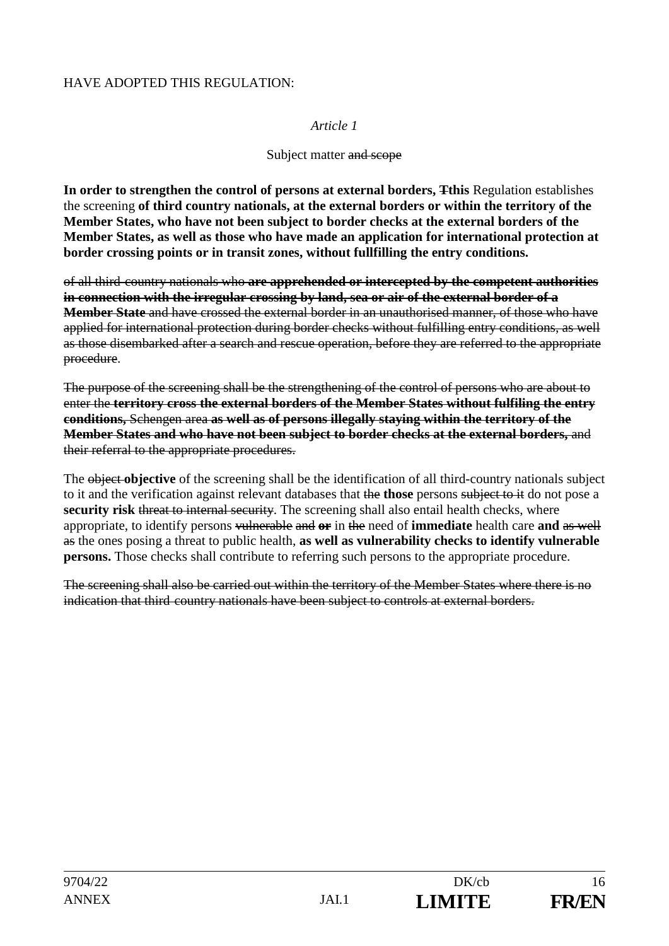#### HAVE ADOPTED THIS REGULATION:

#### *Article 1*

#### Subject matter and scope

**In order to strengthen the control of persons at external borders, Tthis** Regulation establishes the screening **of third country nationals, at the external borders or within the territory of the Member States, who have not been subject to border checks at the external borders of the Member States, as well as those who have made an application for international protection at border crossing points or in transit zones, without fullfilling the entry conditions.**

of all third country nationals who **are apprehended or intercepted by the competent authorities in connection with the irregular crossing by land, sea or air of the external border of a Member State** and have crossed the external border in an unauthorised manner, of those who have applied for international protection during border checks without fulfilling entry conditions, as well as those disembarked after a search and rescue operation, before they are referred to the appropriate procedure.

The purpose of the screening shall be the strengthening of the control of persons who are about to enter the **territory cross the external borders of the Member States without fulfiling the entry conditions,** Schengen area **as well as of persons illegally staying within the territory of the Member States and who have not been subject to border checks at the external borders,** and their referral to the appropriate procedures.

The object **objective** of the screening shall be the identification of all third-country nationals subject to it and the verification against relevant databases that the **those** persons subject to it do not pose a **security risk** threat to internal security. The screening shall also entail health checks, where appropriate, to identify persons vulnerable and **or** in the need of **immediate** health care **and** as well as the ones posing a threat to public health, **as well as vulnerability checks to identify vulnerable persons.** Those checks shall contribute to referring such persons to the appropriate procedure.

The screening shall also be carried out within the territory of the Member States where there is no indication that third country nationals have been subject to controls at external borders.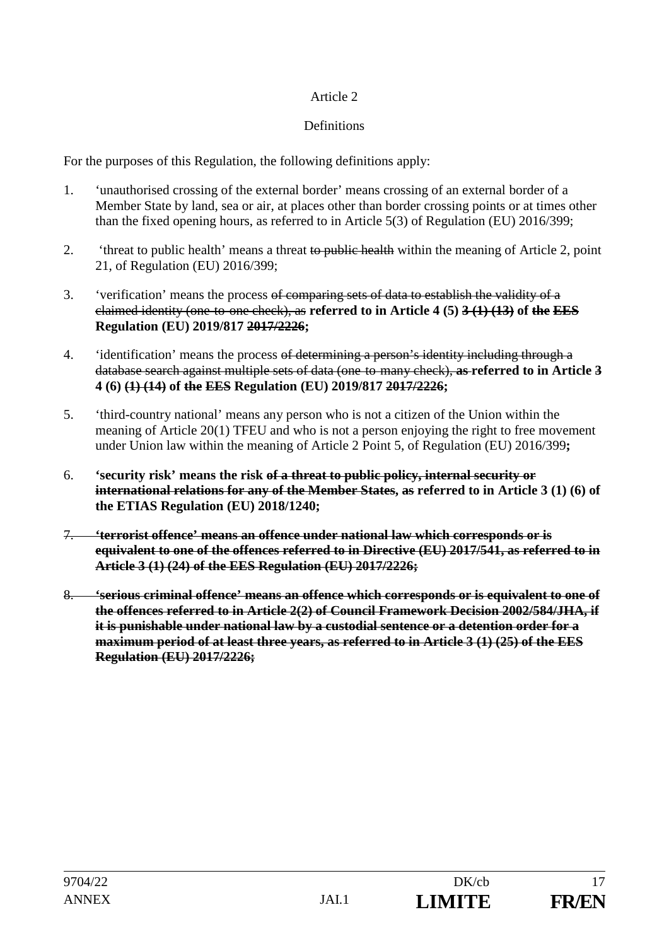## **Definitions**

For the purposes of this Regulation, the following definitions apply:

- 1. 'unauthorised crossing of the external border' means crossing of an external border of a Member State by land, sea or air, at places other than border crossing points or at times other than the fixed opening hours, as referred to in Article 5(3) of Regulation (EU) 2016/399;
- 2. 'threat to public health' means a threat to public health within the meaning of Article 2, point 21, of Regulation (EU) 2016/399;
- 3. 'verification' means the process of comparing sets of data to establish the validity of a claimed identity (one to one check), as **referred to in Article 4 (5) 3 (1) (13) of the EES Regulation (EU) 2019/817 2017/2226;**
- 4. 'identification' means the process of determining a person's identity including through a database search against multiple sets of data (one to many check), **as referred to in Article 3 4 (6) (1) (14) of the EES Regulation (EU) 2019/817 2017/2226;**
- 5. 'third-country national' means any person who is not a citizen of the Union within the meaning of Article 20(1) TFEU and who is not a person enjoying the right to free movement under Union law within the meaning of Article 2 Point 5, of Regulation (EU) 2016/399**;**
- 6. **'security risk' means the risk of a threat to public policy, internal security or international relations for any of the Member States, as referred to in Article 3 (1) (6) of the ETIAS Regulation (EU) 2018/1240;**
- 7. **'terrorist offence' means an offence under national law which corresponds or is equivalent to one of the offences referred to in Directive (EU) 2017/541, as referred to in Article 3 (1) (24) of the EES Regulation (EU) 2017/2226;**
- 8. **'serious criminal offence' means an offence which corresponds or is equivalent to one of the offences referred to in Article 2(2) of Council Framework Decision 2002/584/JHA, if it is punishable under national law by a custodial sentence or a detention order for a maximum period of at least three years, as referred to in Article 3 (1) (25) of the EES Regulation (EU) 2017/2226;**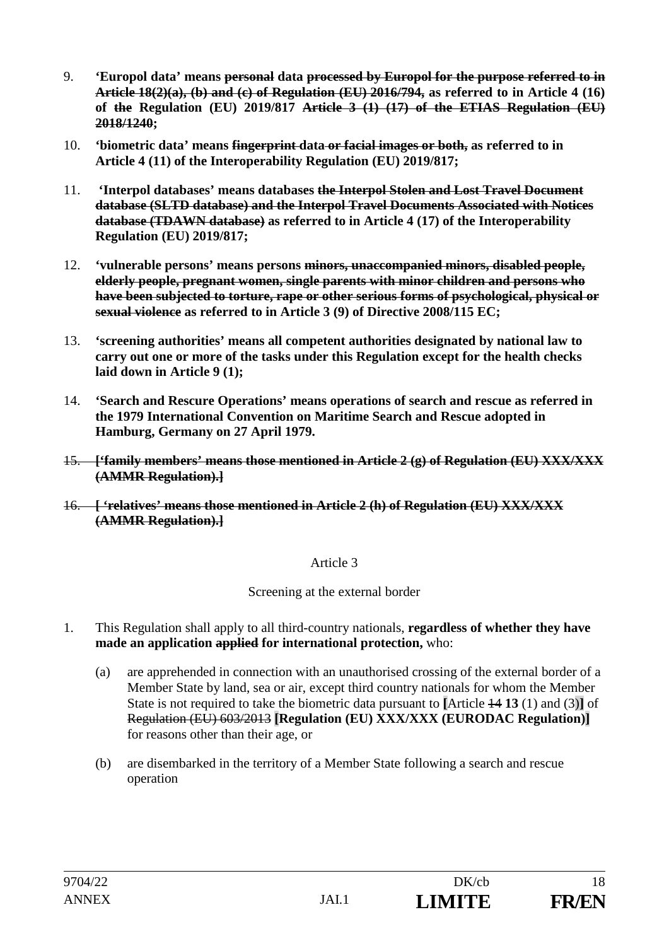- 9. **'Europol data' means personal data processed by Europol for the purpose referred to in Article 18(2)(a), (b) and (c) of Regulation (EU) 2016/794, as referred to in Article 4 (16) of the Regulation (EU) 2019/817 Article 3 (1) (17) of the ETIAS Regulation (EU) 2018/1240;**
- 10. **'biometric data' means fingerprint data or facial images or both, as referred to in Article 4 (11) of the Interoperability Regulation (EU) 2019/817;**
- 11. **'Interpol databases' means databases the Interpol Stolen and Lost Travel Document database (SLTD database) and the Interpol Travel Documents Associated with Notices database (TDAWN database) as referred to in Article 4 (17) of the Interoperability Regulation (EU) 2019/817;**
- 12. **'vulnerable persons' means persons minors, unaccompanied minors, disabled people, elderly people, pregnant women, single parents with minor children and persons who have been subjected to torture, rape or other serious forms of psychological, physical or sexual violence as referred to in Article 3 (9) of Directive 2008/115 EC;**
- 13. **'screening authorities' means all competent authorities designated by national law to carry out one or more of the tasks under this Regulation except for the health checks laid down in Article 9 (1);**
- 14. **'Search and Rescure Operations' means operations of search and rescue as referred in the 1979 International Convention on Maritime Search and Rescue adopted in Hamburg, Germany on 27 April 1979.**
- 15. **['family members' means those mentioned in Article 2 (g) of Regulation (EU) XXX/XXX (AMMR Regulation).]**
- 16. **[ 'relatives' means those mentioned in Article 2 (h) of Regulation (EU) XXX/XXX (AMMR Regulation).]**

Screening at the external border

- 1. This Regulation shall apply to all third-country nationals, **regardless of whether they have made an application applied for international protection,** who:
	- (a) are apprehended in connection with an unauthorised crossing of the external border of a Member State by land, sea or air, except third country nationals for whom the Member State is not required to take the biometric data pursuant to **[**Article 14 **13** (1) and (3)**]** of Regulation (EU) 603/2013 **[Regulation (EU) XXX/XXX (EURODAC Regulation)]**  for reasons other than their age, or
	- (b) are disembarked in the territory of a Member State following a search and rescue operation

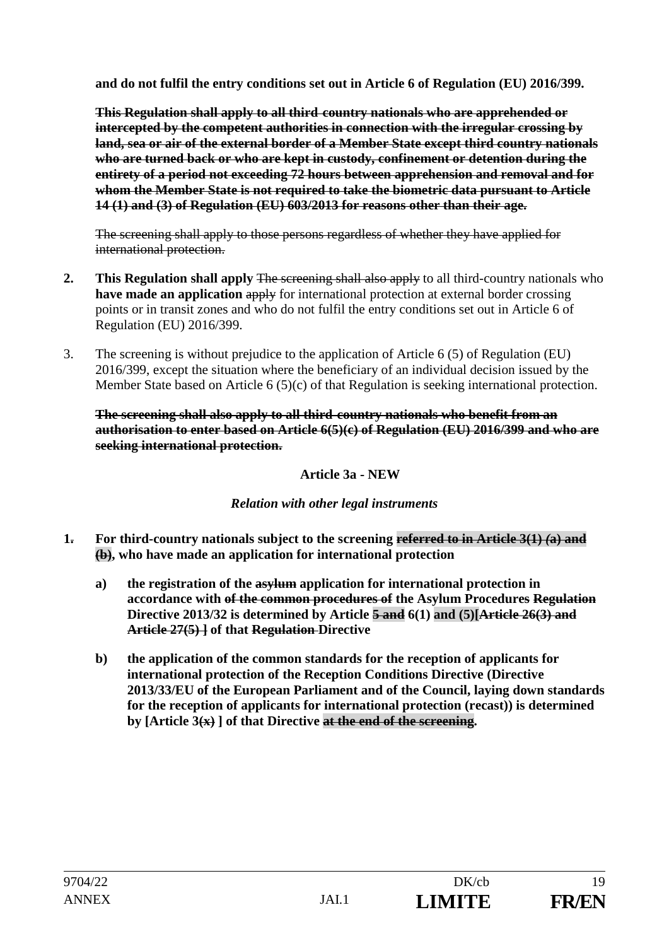**and do not fulfil the entry conditions set out in Article 6 of Regulation (EU) 2016/399.** 

**This Regulation shall apply to all third country nationals who are apprehended or intercepted by the competent authorities in connection with the irregular crossing by land, sea or air of the external border of a Member State except third country nationals who are turned back or who are kept in custody, confinement or detention during the entirety of a period not exceeding 72 hours between apprehension and removal and for whom the Member State is not required to take the biometric data pursuant to Article 14 (1) and (3) of Regulation (EU) 603/2013 for reasons other than their age.**

The screening shall apply to those persons regardless of whether they have applied for international protection.

- **2.** This Regulation shall apply The screening shall also apply to all third-country nationals who **have made an application apply** for international protection at external border crossing points or in transit zones and who do not fulfil the entry conditions set out in Article 6 of Regulation (EU) 2016/399.
- 3. The screening is without prejudice to the application of Article 6 (5) of Regulation (EU) 2016/399, except the situation where the beneficiary of an individual decision issued by the Member State based on Article 6 (5)(c) of that Regulation is seeking international protection.

## **The screening shall also apply to all third country nationals who benefit from an authorisation to enter based on Article 6(5)(c) of Regulation (EU) 2016/399 and who are seeking international protection.**

# **Article 3a - NEW**

# *Relation with other legal instruments*

- **1. For third-country nationals subject to the screening referred to in Article 3(1)** *(***a) and (b), who have made an application for international protection** 
	- **a) the registration of the asylum application for international protection in accordance with of the common procedures of the Asylum Procedures Regulation Directive 2013/32 is determined by Article 5 and 6(1) and (5)[Article 26(3) and Article 27(5) ] of that Regulation Directive**
	- **b) the application of the common standards for the reception of applicants for international protection of the Reception Conditions Directive (Directive 2013/33/EU of the European Parliament and of the Council, laying down standards for the reception of applicants for international protection (recast)) is determined by [Article 3(x) ] of that Directive at the end of the screening.**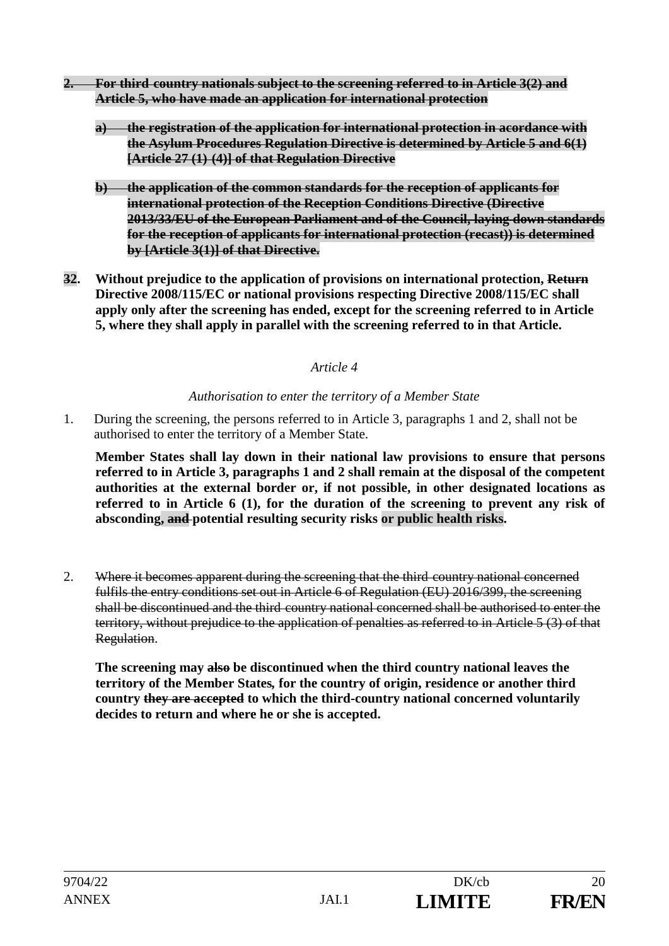- **2. For third country nationals subject to the screening referred to in Article 3(2) and Article 5, who have made an application for international protection** 
	- **a) the registration of the application for international protection in acordance with the Asylum Procedures Regulation Directive is determined by Article 5 and 6(1) [Article 27 (1) (4)] of that Regulation Directive**
	- **b) the application of the common standards for the reception of applicants for international protection of the Reception Conditions Directive (Directive 2013/33/EU of the European Parliament and of the Council, laying down standards for the reception of applicants for international protection (recast)) is determined by [Article 3(1)] of that Directive.**
- **32. Without prejudice to the application of provisions on international protection, Return Directive 2008/115/EC or national provisions respecting Directive 2008/115/EC shall apply only after the screening has ended, except for the screening referred to in Article 5, where they shall apply in parallel with the screening referred to in that Article.**

## *Authorisation to enter the territory of a Member State*

1. During the screening, the persons referred to in Article 3, paragraphs 1 and 2, shall not be authorised to enter the territory of a Member State.

**Member States shall lay down in their national law provisions to ensure that persons referred to in Article 3, paragraphs 1 and 2 shall remain at the disposal of the competent authorities at the external border or, if not possible, in other designated locations as referred to in Article 6 (1), for the duration of the screening to prevent any risk of absconding, and potential resulting security risks or public health risks.** 

2. Where it becomes apparent during the screening that the third country national concerned fulfils the entry conditions set out in Article 6 of Regulation (EU) 2016/399, the screening shall be discontinued and the third country national concerned shall be authorised to enter the territory, without prejudice to the application of penalties as referred to in Article 5 (3) of that Regulation.

**The screening may also be discontinued when the third country national leaves the territory of the Member States***,* **for the country of origin, residence or another third country they are accepted to which the third-country national concerned voluntarily decides to return and where he or she is accepted.**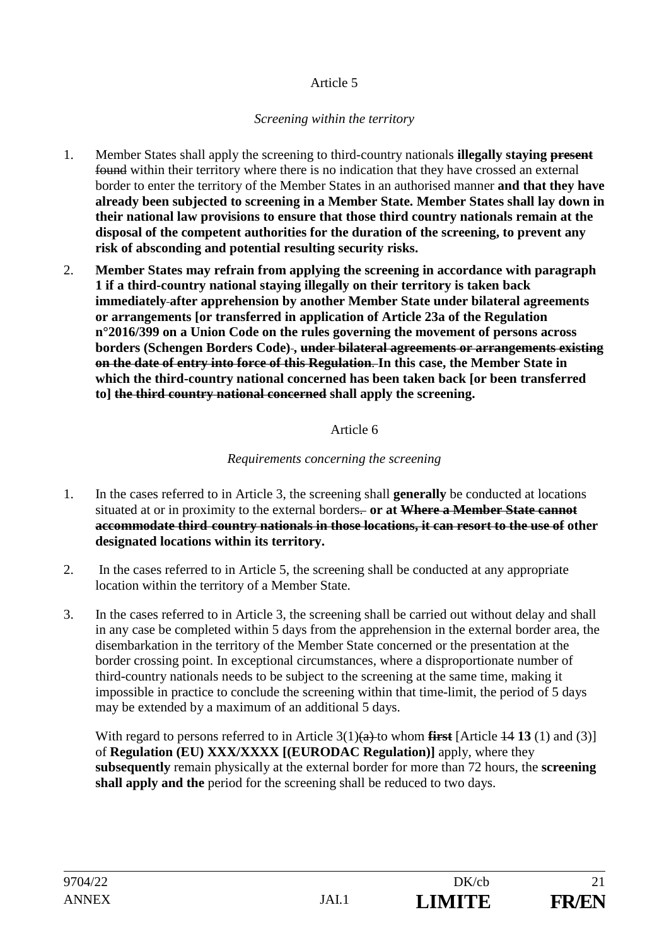## *Screening within the territory*

- 1. Member States shall apply the screening to third-country nationals **illegally staying present** found within their territory where there is no indication that they have crossed an external border to enter the territory of the Member States in an authorised manner **and that they have already been subjected to screening in a Member State. Member States shall lay down in their national law provisions to ensure that those third country nationals remain at the disposal of the competent authorities for the duration of the screening, to prevent any risk of absconding and potential resulting security risks.**
- 2. **Member States may refrain from applying the screening in accordance with paragraph 1 if a third-country national staying illegally on their territory is taken back immediately after apprehension by another Member State under bilateral agreements or arrangements [or transferred in application of Article 23a of the Regulation n°2016/399 on a Union Code on the rules governing the movement of persons across borders (Schengen Borders Code) , under bilateral agreements or arrangements existing on the date of entry into force of this Regulation**. **In this case, the Member State in which the third-country national concerned has been taken back [or been transferred to] the third country national concerned shall apply the screening.**

## Article 6

# *Requirements concerning the screening*

- 1. In the cases referred to in Article 3, the screening shall **generally** be conducted at locations situated at or in proximity to the external borders- or at Where a Member State cannot **accommodate third country nationals in those locations, it can resort to the use of other designated locations within its territory.**
- 2. In the cases referred to in Article 5, the screening shall be conducted at any appropriate location within the territory of a Member State.
- 3. In the cases referred to in Article 3, the screening shall be carried out without delay and shall in any case be completed within 5 days from the apprehension in the external border area, the disembarkation in the territory of the Member State concerned or the presentation at the border crossing point. In exceptional circumstances, where a disproportionate number of third-country nationals needs to be subject to the screening at the same time, making it impossible in practice to conclude the screening within that time-limit, the period of 5 days may be extended by a maximum of an additional 5 days.

With regard to persons referred to in Article 3(1)(a) to whom **first** [Article 14 13 (1) and (3)] of **Regulation (EU) XXX/XXXX [(EURODAC Regulation)]** apply, where they **subsequently** remain physically at the external border for more than 72 hours, the **screening shall apply and the** period for the screening shall be reduced to two days.

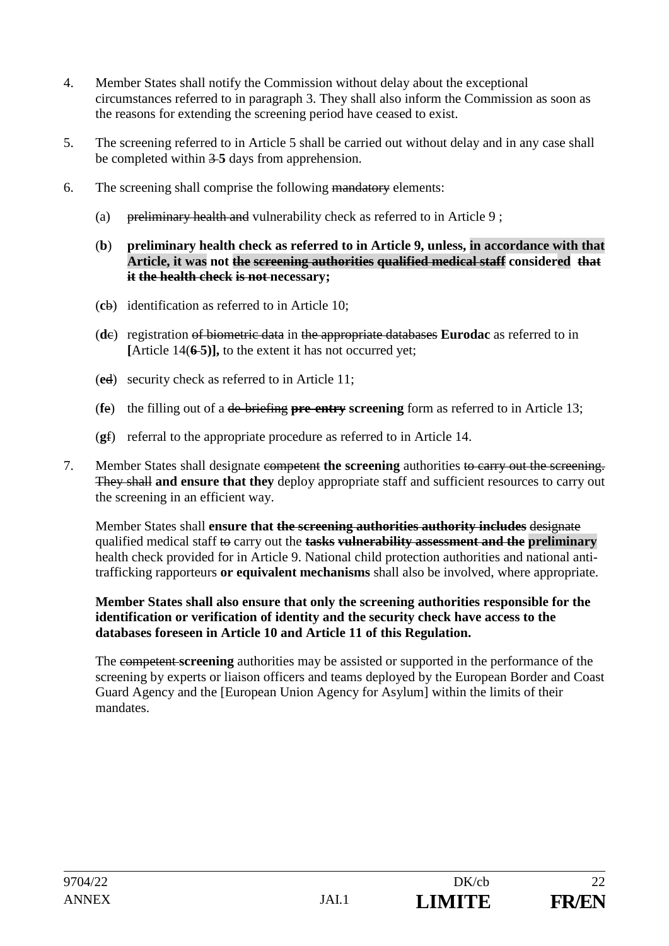- 4. Member States shall notify the Commission without delay about the exceptional circumstances referred to in paragraph 3. They shall also inform the Commission as soon as the reasons for extending the screening period have ceased to exist.
- 5. The screening referred to in Article 5 shall be carried out without delay and in any case shall be completed within 3 **5** days from apprehension.
- 6. The screening shall comprise the following mandatory elements:
	- (a) preliminary health and vulnerability check as referred to in Article 9;
	- (**b**) **preliminary health check as referred to in Article 9, unless, in accordance with that Article, it was not the screening authorities qualified medical staff considered that it the health check is not necessary;**
	- (**c**b) identification as referred to in Article 10;
	- (**d**c) registration of biometric data in the appropriate databases **Eurodac** as referred to in **[**Article 14(**6 5)],** to the extent it has not occurred yet;
	- (**e**d) security check as referred to in Article 11;
	- (**f**e) the filling out of a de briefing **pre entry screening** form as referred to in Article 13;
	- (**g**f) referral to the appropriate procedure as referred to in Article 14.
- 7. Member States shall designate competent **the screening** authorities to carry out the screening. They shall **and ensure that they** deploy appropriate staff and sufficient resources to carry out the screening in an efficient way.

Member States shall **ensure that the screening authorities authority includes** designate qualified medical staff to carry out the **tasks vulnerability assessment and the preliminary** health check provided for in Article 9. National child protection authorities and national antitrafficking rapporteurs **or equivalent mechanisms** shall also be involved, where appropriate.

#### **Member States shall also ensure that only the screening authorities responsible for the identification or verification of identity and the security check have access to the databases foreseen in Article 10 and Article 11 of this Regulation.**

The competent **screening** authorities may be assisted or supported in the performance of the screening by experts or liaison officers and teams deployed by the European Border and Coast Guard Agency and the [European Union Agency for Asylum] within the limits of their mandates.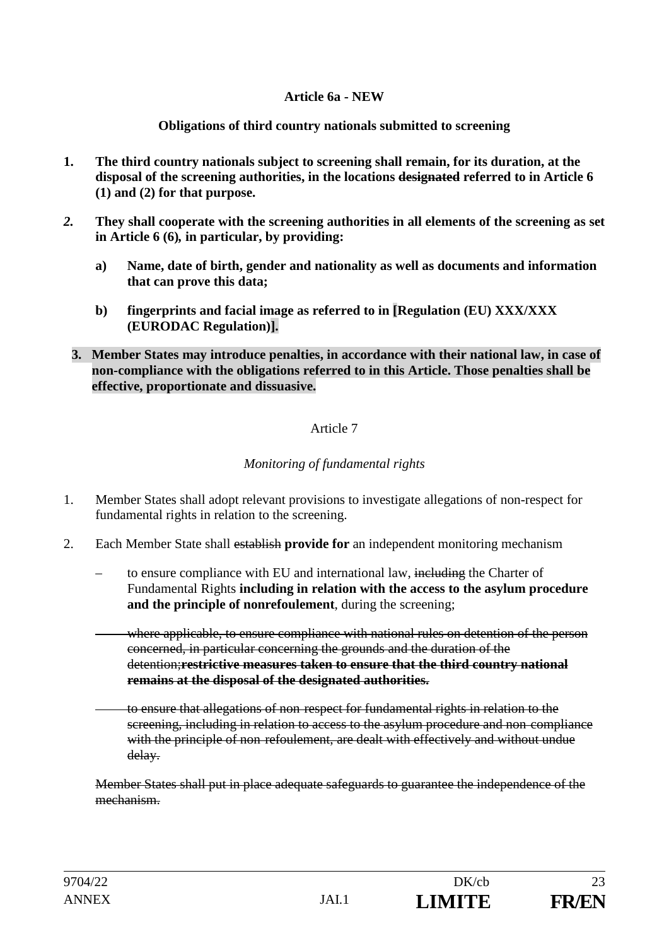### **Article 6a - NEW**

**Obligations of third country nationals submitted to screening**

- **1. The third country nationals subject to screening shall remain, for its duration, at the disposal of the screening authorities, in the locations designated referred to in Article 6 (1) and (2) for that purpose.**
- *2.* **They shall cooperate with the screening authorities in all elements of the screening as set in Article 6 (6)***,* **in particular, by providing:**
	- **a) Name, date of birth, gender and nationality as well as documents and information that can prove this data;**
	- **b) fingerprints and facial image as referred to in [Regulation (EU) XXX/XXX (EURODAC Regulation)].**
	- **3. Member States may introduce penalties, in accordance with their national law, in case of non-compliance with the obligations referred to in this Article. Those penalties shall be effective, proportionate and dissuasive.**

## Article 7

# *Monitoring of fundamental rights*

- 1. Member States shall adopt relevant provisions to investigate allegations of non-respect for fundamental rights in relation to the screening.
- 2. Each Member State shall establish **provide for** an independent monitoring mechanism
	- to ensure compliance with EU and international law, including the Charter of Fundamental Rights **including in relation with the access to the asylum procedure and the principle of nonrefoulement**, during the screening;
	- where applicable, to ensure compliance with national rules on detention of the person concerned, in particular concerning the grounds and the duration of the detention;**restrictive measures taken to ensure that the third country national remains at the disposal of the designated authorities.**
	- to ensure that allegations of non respect for fundamental rights in relation to the screening, including in relation to access to the asylum procedure and non compliance with the principle of non-refoulement, are dealt with effectively and without undue delay.

Member States shall put in place adequate safeguards to guarantee the independence of the mechanism.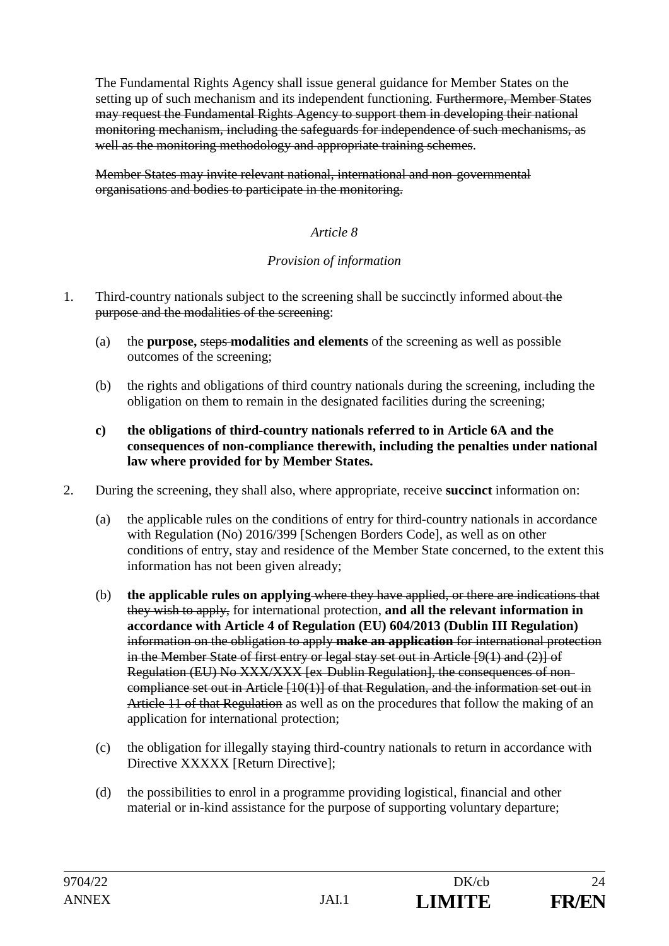The Fundamental Rights Agency shall issue general guidance for Member States on the setting up of such mechanism and its independent functioning. Furthermore, Member States may request the Fundamental Rights Agency to support them in developing their national monitoring mechanism, including the safeguards for independence of such mechanisms, as well as the monitoring methodology and appropriate training schemes.

Member States may invite relevant national, international and non governmental organisations and bodies to participate in the monitoring.

## *Article 8*

## *Provision of information*

- 1. Third-country nationals subject to the screening shall be succinctly informed about the purpose and the modalities of the screening:
	- (a) the **purpose,** steps **modalities and elements** of the screening as well as possible outcomes of the screening;
	- (b) the rights and obligations of third country nationals during the screening, including the obligation on them to remain in the designated facilities during the screening;
	- **c) the obligations of third-country nationals referred to in Article 6A and the consequences of non-compliance therewith, including the penalties under national law where provided for by Member States.**
- 2. During the screening, they shall also, where appropriate, receive **succinct** information on:
	- (a) the applicable rules on the conditions of entry for third-country nationals in accordance with Regulation (No) 2016/399 [Schengen Borders Code], as well as on other conditions of entry, stay and residence of the Member State concerned, to the extent this information has not been given already;
	- (b) **the applicable rules on applying** where they have applied, or there are indications that they wish to apply, for international protection, **and all the relevant information in accordance with Article 4 of Regulation (EU) 604/2013 (Dublin III Regulation)** information on the obligation to apply **make an application** for international protection in the Member State of first entry or legal stay set out in Article [9(1) and (2)] of Regulation (EU) No XXX/XXX [ex Dublin Regulation], the consequences of non compliance set out in Article [10(1)] of that Regulation, and the information set out in Article 11 of that Regulation as well as on the procedures that follow the making of an application for international protection;
	- (c) the obligation for illegally staying third-country nationals to return in accordance with Directive XXXXX [Return Directive];
	- (d) the possibilities to enrol in a programme providing logistical, financial and other material or in-kind assistance for the purpose of supporting voluntary departure;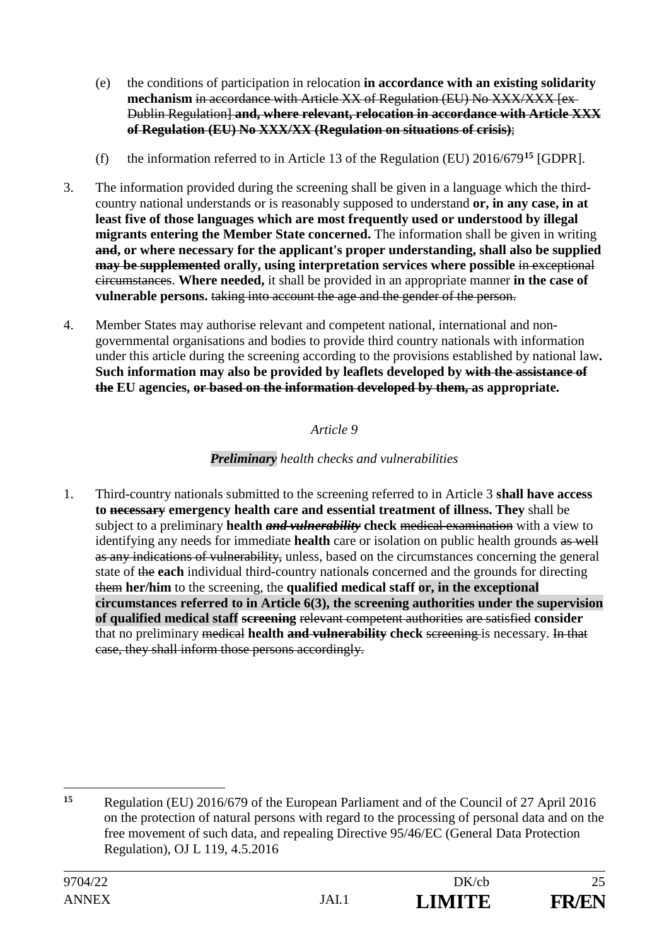- (e) the conditions of participation in relocation **in accordance with an existing solidarity**  mechanism in accordance with Article XX of Regulation (EU) No XXX/XXX [ex-Dublin Regulation] **and, where relevant, relocation in accordance with Article XXX of Regulation (EU) No XXX/XX (Regulation on situations of crisis)**;
- (f) the information referred to in Article 13 of the Regulation (EU) 2016/679**<sup>15</sup>** [GDPR].
- 3. The information provided during the screening shall be given in a language which the thirdcountry national understands or is reasonably supposed to understand **or, in any case, in at least five of those languages which are most frequently used or understood by illegal migrants entering the Member State concerned.** The information shall be given in writing **and, or where necessary for the applicant's proper understanding, shall also be supplied may be supplemented** orally, using interpretation services where possible in exceptional circumstances. **Where needed,** it shall be provided in an appropriate manner **in the case of vulnerable persons.** taking into account the age and the gender of the person.
- 4. Member States may authorise relevant and competent national, international and nongovernmental organisations and bodies to provide third country nationals with information under this article during the screening according to the provisions established by national law**. Such information may also be provided by leaflets developed by with the assistance of the EU agencies, or based on the information developed by them, as appropriate.**

# *Preliminary health checks and vulnerabilities*

1. Third-country nationals submitted to the screening referred to in Article 3 **shall have access to necessary emergency health care and essential treatment of illness. They** shall be subject to a preliminary **health** *and vulnerability* **check** medical examination with a view to identifying any needs for immediate **health** care or isolation on public health grounds as well as any indications of vulnerability, unless, based on the circumstances concerning the general state of the **each** individual third-country nationals concerned and the grounds for directing them **her/him** to the screening, the **qualified medical staff or, in the exceptional circumstances referred to in Article 6(3), the screening authorities under the supervision of qualified medical staff screening** relevant competent authorities are satisfied **consider** that no preliminary medical **health and vulnerability check** screening is necessary. In that case, they shall inform those persons accordingly.

<sup>-</sup>**<sup>15</sup>** Regulation (EU) 2016/679 of the European Parliament and of the Council of 27 April 2016 on the protection of natural persons with regard to the processing of personal data and on the free movement of such data, and repealing Directive 95/46/EC (General Data Protection Regulation), OJ L 119, 4.5.2016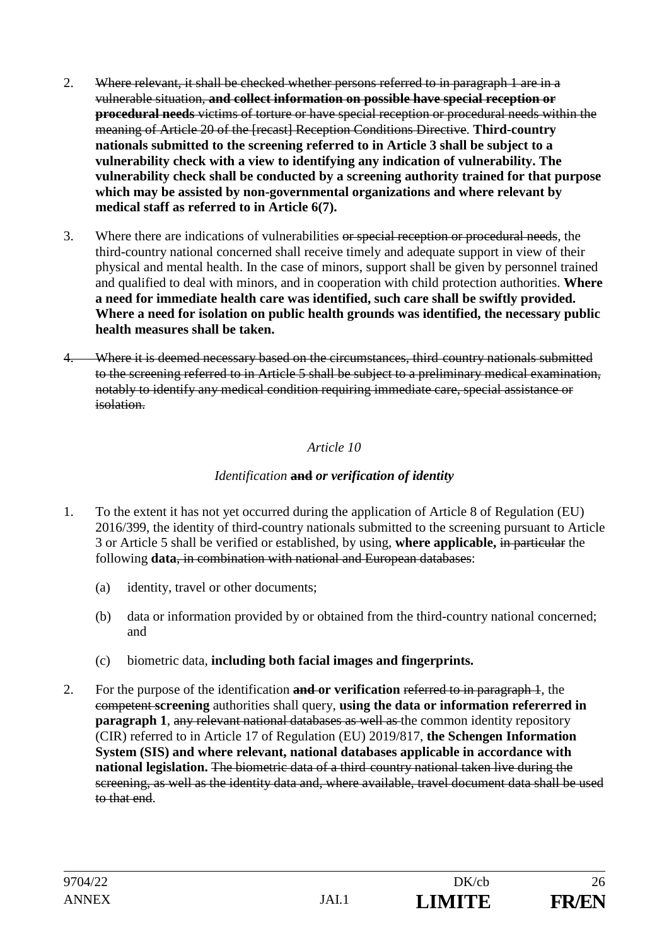- 2. Where relevant, it shall be checked whether persons referred to in paragraph 1 are in a vulnerable situation, **and collect information on possible have special reception or procedural needs** victims of torture or have special reception or procedural needs within the meaning of Article 20 of the [recast] Reception Conditions Directive. **Third-country nationals submitted to the screening referred to in Article 3 shall be subject to a vulnerability check with a view to identifying any indication of vulnerability. The vulnerability check shall be conducted by a screening authority trained for that purpose which may be assisted by non-governmental organizations and where relevant by medical staff as referred to in Article 6(7).**
- 3. Where there are indications of vulnerabilities or special reception or procedural needs*,* the third-country national concerned shall receive timely and adequate support in view of their physical and mental health. In the case of minors, support shall be given by personnel trained and qualified to deal with minors, and in cooperation with child protection authorities. **Where a need for immediate health care was identified, such care shall be swiftly provided. Where a need for isolation on public health grounds was identified, the necessary public health measures shall be taken.**
- 4. Where it is deemed necessary based on the circumstances, third country nationals submitted to the screening referred to in Article 5 shall be subject to a preliminary medical examination, notably to identify any medical condition requiring immediate care, special assistance or isolation.

## *Identification* **and** *or verification of identity*

- 1. To the extent it has not yet occurred during the application of Article 8 of Regulation (EU) 2016/399, the identity of third-country nationals submitted to the screening pursuant to Article 3 or Article 5 shall be verified or established, by using, **where applicable,** in particular the following **data**, in combination with national and European databases:
	- (a) identity, travel or other documents;
	- (b) data or information provided by or obtained from the third-country national concerned; and
	- (c) biometric data, **including both facial images and fingerprints.**
- 2. For the purpose of the identification **and or verification** referred to in paragraph 1, the competent **screening** authorities shall query, **using the data or information refererred in paragraph 1, any relevant national databases as well as the common identity repository** (CIR) referred to in Article 17 of Regulation (EU) 2019/817, **the Schengen Information System (SIS) and where relevant, national databases applicable in accordance with national legislation.** The biometric data of a third country national taken live during the screening, as well as the identity data and, where available, travel document data shall be used to that end.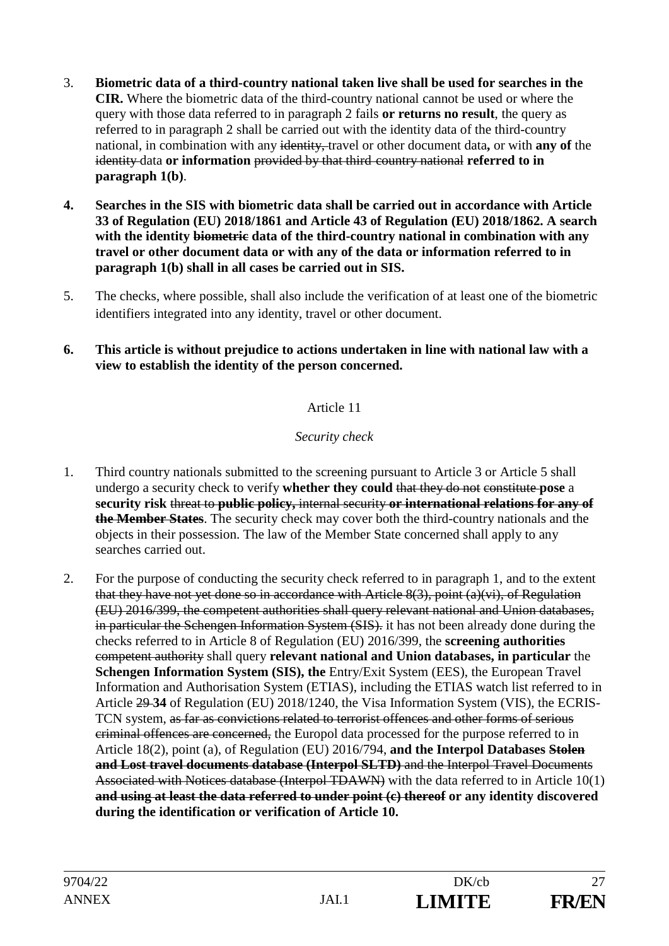- 3. **Biometric data of a third-country national taken live shall be used for searches in the CIR.** Where the biometric data of the third-country national cannot be used or where the query with those data referred to in paragraph 2 fails **or returns no result**, the query as referred to in paragraph 2 shall be carried out with the identity data of the third-country national, in combination with any identity, travel or other document data**,** or with **any of** the identity data **or information** provided by that third country national **referred to in paragraph 1(b)**.
- **4. Searches in the SIS with biometric data shall be carried out in accordance with Article 33 of Regulation (EU) 2018/1861 and Article 43 of Regulation (EU) 2018/1862. A search with the identity biometric data of the third-country national in combination with any travel or other document data or with any of the data or information referred to in paragraph 1(b) shall in all cases be carried out in SIS.**
- 5. The checks, where possible, shall also include the verification of at least one of the biometric identifiers integrated into any identity, travel or other document.
- **6. This article is without prejudice to actions undertaken in line with national law with a view to establish the identity of the person concerned.**

# *Security check*

- 1. Third country nationals submitted to the screening pursuant to Article 3 or Article 5 shall undergo a security check to verify **whether they could** that they do not constitute **pose** a **security risk** threat to **public policy,** internal security **or international relations for any of the Member States**. The security check may cover both the third-country nationals and the objects in their possession. The law of the Member State concerned shall apply to any searches carried out.
- 2. For the purpose of conducting the security check referred to in paragraph 1, and to the extent that they have not yet done so in accordance with Article 8(3), point (a)(vi), of Regulation (EU) 2016/399, the competent authorities shall query relevant national and Union databases, in particular the Schengen Information System (SIS). it has not been already done during the checks referred to in Article 8 of Regulation (EU) 2016/399, the **screening authorities** competent authority shall query **relevant national and Union databases, in particular** the **Schengen Information System (SIS), the** Entry/Exit System (EES), the European Travel Information and Authorisation System (ETIAS), including the ETIAS watch list referred to in Article 29 **34** of Regulation (EU) 2018/1240, the Visa Information System (VIS), the ECRIS-TCN system, as far as convictions related to terrorist offences and other forms of serious criminal offences are concerned, the Europol data processed for the purpose referred to in Article 18(2), point (a), of Regulation (EU) 2016/794, **and the Interpol Databases Stolen and Lost travel documents database (Interpol SLTD)** and the Interpol Travel Documents Associated with Notices database (Interpol TDAWN) with the data referred to in Article 10(1) **and using at least the data referred to under point (c) thereof or any identity discovered during the identification or verification of Article 10.**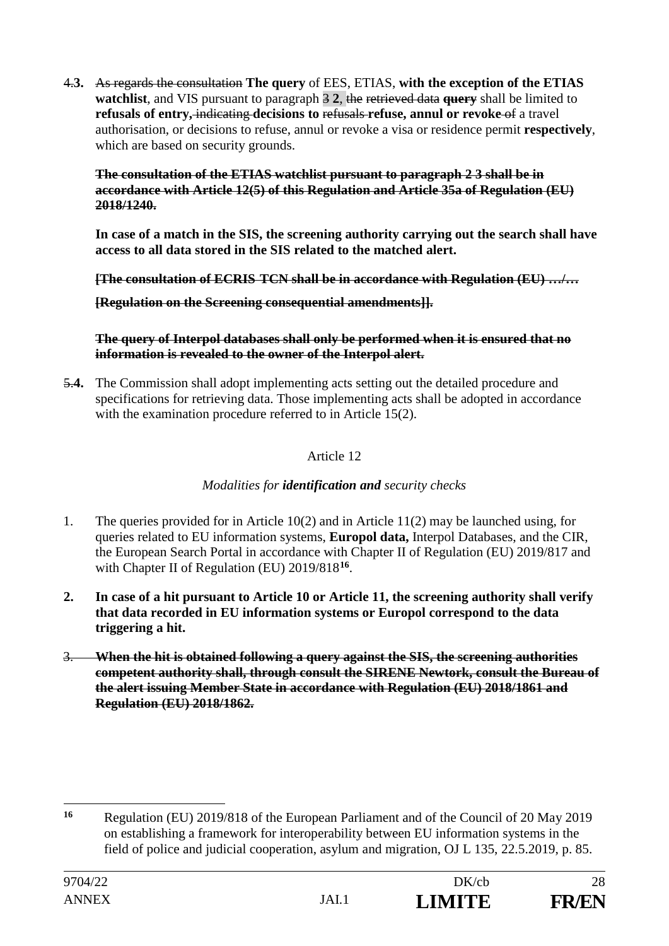4.**3.** As regards the consultation **The query** of EES, ETIAS, **with the exception of the ETIAS watchlist**, and VIS pursuant to paragraph 3 **2**, the retrieved data **query** shall be limited to **refusals of entry,** indicating **decisions to** refusals **refuse, annul or revoke** of a travel authorisation, or decisions to refuse, annul or revoke a visa or residence permit **respectively**, which are based on security grounds.

**The consultation of the ETIAS watchlist pursuant to paragraph 2 3 shall be in accordance with Article 12(5) of this Regulation and Article 35a of Regulation (EU) 2018/1240.** 

**In case of a match in the SIS, the screening authority carrying out the search shall have access to all data stored in the SIS related to the matched alert.**

**[The consultation of ECRIS TCN shall be in accordance with Regulation (EU) …/…** 

**[Regulation on the Screening consequential amendments]].**

**The query of Interpol databases shall only be performed when it is ensured that no information is revealed to the owner of the Interpol alert.**

5.**4.** The Commission shall adopt implementing acts setting out the detailed procedure and specifications for retrieving data. Those implementing acts shall be adopted in accordance with the examination procedure referred to in Article 15(2).

Article 12

*Modalities for identification and security checks*

- 1. The queries provided for in Article 10(2) and in Article 11(2) may be launched using, for queries related to EU information systems, **Europol data,** Interpol Databases, and the CIR, the European Search Portal in accordance with Chapter II of Regulation (EU) 2019/817 and with Chapter II of Regulation (EU) 2019/818**<sup>16</sup>**.
- **2. In case of a hit pursuant to Article 10 or Article 11, the screening authority shall verify that data recorded in EU information systems or Europol correspond to the data triggering a hit.**
- 3. **When the hit is obtained following a query against the SIS, the screening authorities competent authority shall, through consult the SIRENE Newtork, consult the Bureau of the alert issuing Member State in accordance with Regulation (EU) 2018/1861 and Regulation (EU) 2018/1862.**

<sup>&</sup>lt;u>.</u> **<sup>16</sup>** Regulation (EU) 2019/818 of the European Parliament and of the Council of 20 May 2019 on establishing a framework for interoperability between EU information systems in the field of police and judicial cooperation, asylum and migration, OJ L 135, 22.5.2019, p. 85.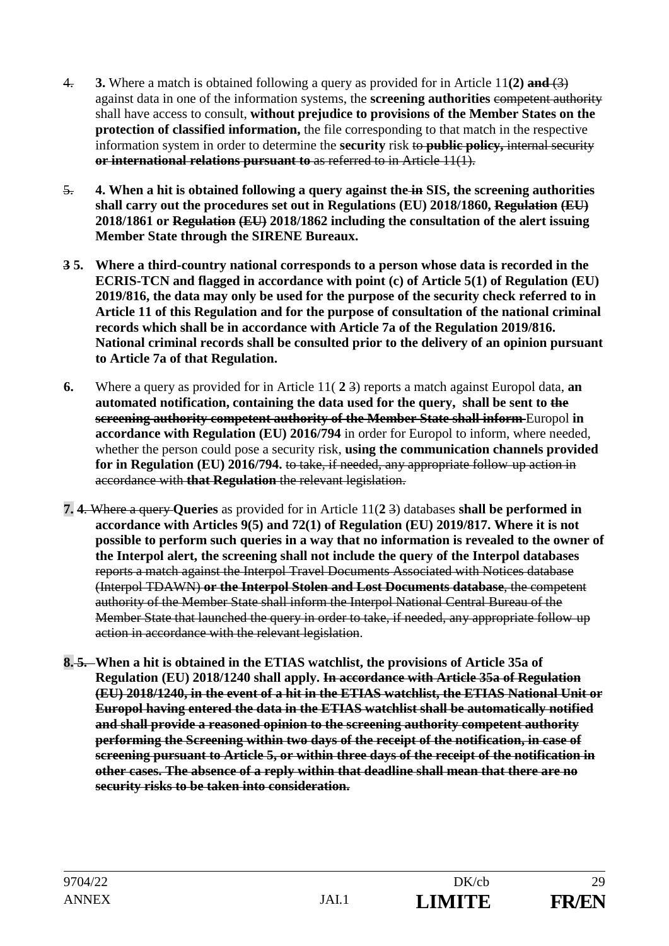- 4. **3.** Where a match is obtained following a query as provided for in Article 11**(2) and** (3) against data in one of the information systems, the **screening authorities** competent authority shall have access to consult, **without prejudice to provisions of the Member States on the protection of classified information,** the file corresponding to that match in the respective information system in order to determine the **security** risk to **public policy**, internal security **or international relations pursuant to** as referred to in Article 11(1).
- 5. **4. When a hit is obtained following a query against the in SIS, the screening authorities shall carry out the procedures set out in Regulations (EU) 2018/1860, Regulation (EU) 2018/1861 or Regulation (EU) 2018/1862 including the consultation of the alert issuing Member State through the SIRENE Bureaux.**
- **3 5. Where a third-country national corresponds to a person whose data is recorded in the ECRIS-TCN and flagged in accordance with point (c) of Article 5(1) of Regulation (EU) 2019/816, the data may only be used for the purpose of the security check referred to in Article 11 of this Regulation and for the purpose of consultation of the national criminal records which shall be in accordance with Article 7a of the Regulation 2019/816. National criminal records shall be consulted prior to the delivery of an opinion pursuant to Article 7a of that Regulation.**
- **6.** Where a query as provided for in Article 11( **2** 3) reports a match against Europol data, **an automated notification, containing the data used for the query, shall be sent to the screening authority competent authority of the Member State shall inform-Europol in accordance with Regulation (EU) 2016/794** in order for Europol to inform, where needed, whether the person could pose a security risk, **using the communication channels provided for in Regulation (EU) 2016/794.** to take, if needed, any appropriate follow up action in accordance with **that Regulation** the relevant legislation.
- **7. 4**. Where a query **Queries** as provided for in Article 11(**2** 3) databases **shall be performed in accordance with Articles 9(5) and 72(1) of Regulation (EU) 2019/817. Where it is not possible to perform such queries in a way that no information is revealed to the owner of the Interpol alert, the screening shall not include the query of the Interpol databases**  reports a match against the Interpol Travel Documents Associated with Notices database (Interpol TDAWN) **or the Interpol Stolen and Lost Documents database**, the competent authority of the Member State shall inform the Interpol National Central Bureau of the Member State that launched the query in order to take, if needed, any appropriate follow up action in accordance with the relevant legislation.
- **8. 5. When a hit is obtained in the ETIAS watchlist, the provisions of Article 35a of Regulation (EU) 2018/1240 shall apply. In accordance with Article 35a of Regulation (EU) 2018/1240, in the event of a hit in the ETIAS watchlist, the ETIAS National Unit or Europol having entered the data in the ETIAS watchlist shall be automatically notified and shall provide a reasoned opinion to the screening authority competent authority performing the Screening within two days of the receipt of the notification, in case of screening pursuant to Article 5, or within three days of the receipt of the notification in other cases. The absence of a reply within that deadline shall mean that there are no security risks to be taken into consideration.**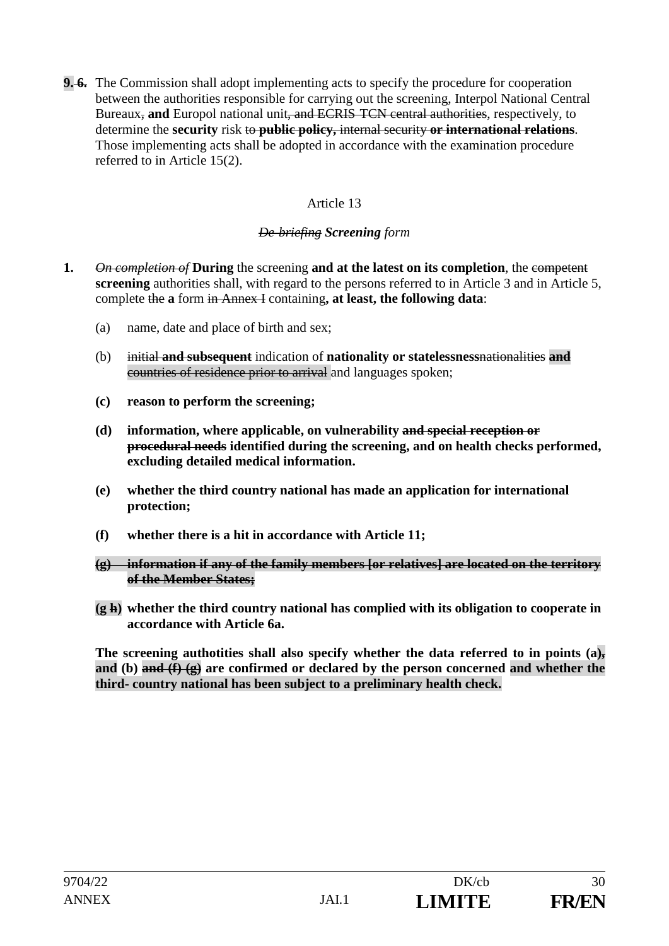**9. 6.** The Commission shall adopt implementing acts to specify the procedure for cooperation between the authorities responsible for carrying out the screening, Interpol National Central Bureaux, **and** Europol national unit, and ECRIS TCN central authorities, respectively, to determine the **security** risk to **public policy,** internal security **or international relations**. Those implementing acts shall be adopted in accordance with the examination procedure referred to in Article 15(2).

# Article 13

# *De briefing Screening form*

- **1.** *On completion of* **During** the screening **and at the latest on its completion**, the competent **screening** authorities shall, with regard to the persons referred to in Article 3 and in Article 5, complete the **a** form in Annex I containing**, at least, the following data**:
	- (a) name, date and place of birth and sex;
	- (b) initial **and subsequent** indication of **nationality or statelessness**nationalities **and** countries of residence prior to arrival and languages spoken;
	- **(c) reason to perform the screening;**
	- **(d) information, where applicable, on vulnerability and special reception or procedural needs identified during the screening, and on health checks performed, excluding detailed medical information.**
	- **(e) whether the third country national has made an application for international protection;**
	- **(f) whether there is a hit in accordance with Article 11;**
	- **(g) information if any of the family members [or relatives] are located on the territory of the Member States;**
	- **(g h) whether the third country national has complied with its obligation to cooperate in accordance with Article 6a.**

The screening authotities shall also specify whether the data referred to in points (a)<sub>z</sub> **and (b) and (f) (g) are confirmed or declared by the person concerned and whether the third- country national has been subject to a preliminary health check.**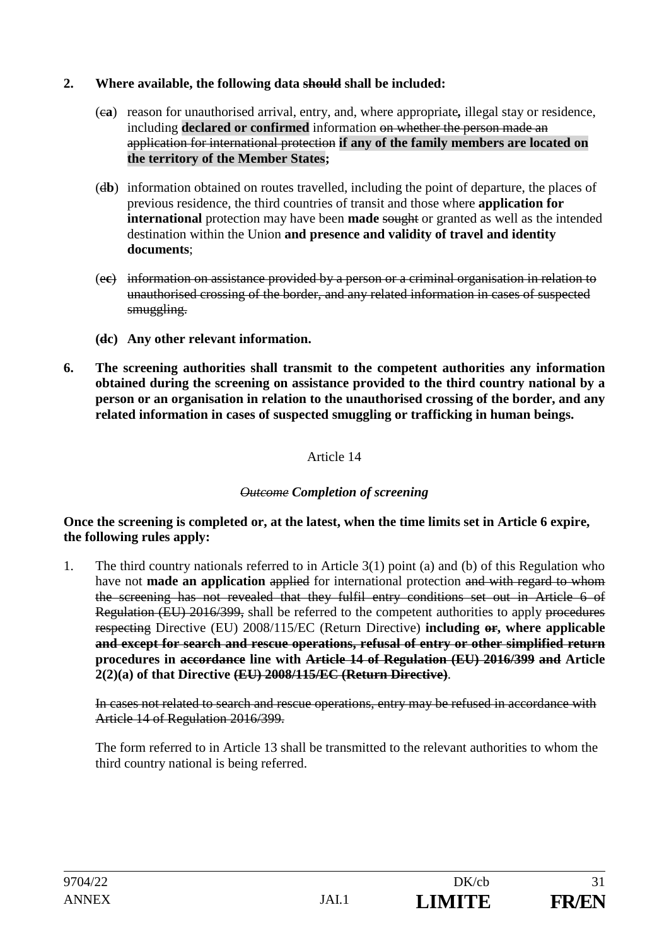### **2. Where available, the following data should shall be included:**

- (c**a**) reason for unauthorised arrival, entry, and, where appropriate*,* illegal stay or residence, including **declared or confirmed** information on whether the person made an application for international protection **if any of the family members are located on the territory of the Member States;**
- (d**b**) information obtained on routes travelled, including the point of departure, the places of previous residence, the third countries of transit and those where **application for international** protection may have been **made** sought or granted as well as the intended destination within the Union **and presence and validity of travel and identity documents**;
- (e**c**) information on assistance provided by a person or a criminal organisation in relation to unauthorised crossing of the border, and any related information in cases of suspected smuggling.
- **(dc) Any other relevant information.**
- **6. The screening authorities shall transmit to the competent authorities any information obtained during the screening on assistance provided to the third country national by a person or an organisation in relation to the unauthorised crossing of the border, and any related information in cases of suspected smuggling or trafficking in human beings.**

#### Article 14

## *Outcome Completion of screening*

#### **Once the screening is completed or, at the latest, when the time limits set in Article 6 expire, the following rules apply:**

1. The third country nationals referred to in Article 3(1) point (a) and (b) of this Regulation who have not **made an application** applied for international protection and with regard to whom the screening has not revealed that they fulfil entry conditions set out in Article 6 of Regulation (EU) 2016/399, shall be referred to the competent authorities to apply procedures respecting Directive (EU) 2008/115/EC (Return Directive) **including or, where applicable and except for search and rescue operations, refusal of entry or other simplified return procedures in accordance line with Article 14 of Regulation (EU) 2016/399 and Article 2(2)(a) of that Directive (EU) 2008/115/EC (Return Directive)**.

In cases not related to search and rescue operations, entry may be refused in accordance with Article 14 of Regulation 2016/399.

The form referred to in Article 13 shall be transmitted to the relevant authorities to whom the third country national is being referred.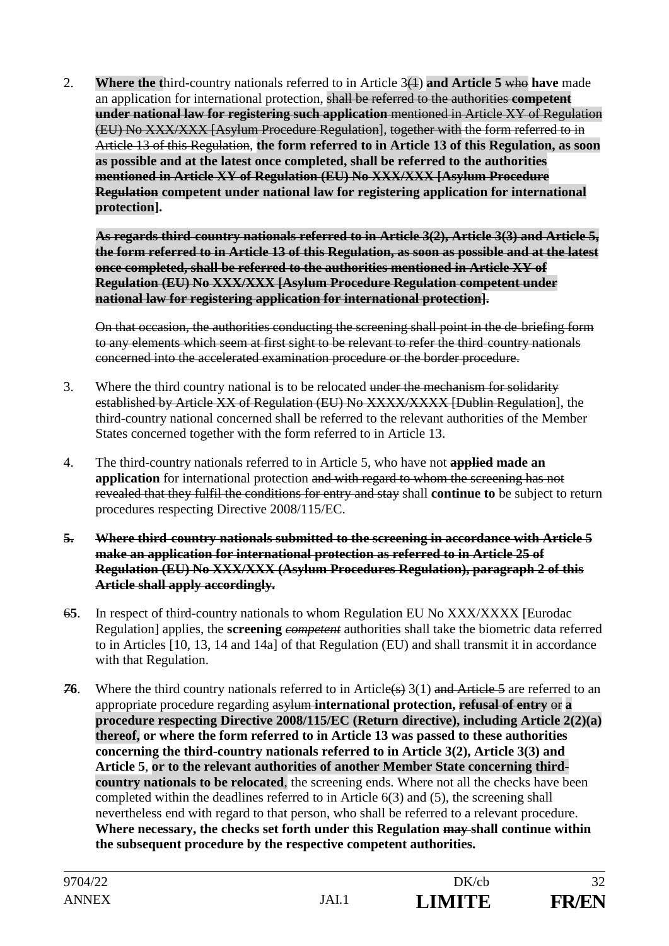2. **Where the t**hird-country nationals referred to in Article 3(1) **and Article 5** who **have** made an application for international protection, shall be referred to the authorities **competent under national law for registering such application** mentioned in Article XY of Regulation (EU) No XXX/XXX [Asylum Procedure Regulation], together with the form referred to in Article 13 of this Regulation, **the form referred to in Article 13 of this Regulation, as soon as possible and at the latest once completed, shall be referred to the authorities mentioned in Article XY of Regulation (EU) No XXX/XXX [Asylum Procedure Regulation competent under national law for registering application for international protection].**

**As regards third country nationals referred to in Article 3(2), Article 3(3) and Article 5, the form referred to in Article 13 of this Regulation, as soon as possible and at the latest once completed, shall be referred to the authorities mentioned in Article XY of Regulation (EU) No XXX/XXX [Asylum Procedure Regulation competent under national law for registering application for international protection].**

On that occasion, the authorities conducting the screening shall point in the de briefing form to any elements which seem at first sight to be relevant to refer the third country nationals concerned into the accelerated examination procedure or the border procedure.

- 3. Where the third country national is to be relocated under the mechanism for solidarity established by Article XX of Regulation (EU) No XXXX/XXXX [Dublin Regulation], the third-country national concerned shall be referred to the relevant authorities of the Member States concerned together with the form referred to in Article 13.
- 4. The third-country nationals referred to in Article 5, who have not **applied made an application** for international protection and with regard to whom the screening has not revealed that they fulfil the conditions for entry and stay shall **continue to** be subject to return procedures respecting Directive 2008/115/EC.
- **5. Where third country nationals submitted to the screening in accordance with Article 5 make an application for international protection as referred to in Article 25 of Regulation (EU) No XXX/XXX (Asylum Procedures Regulation), paragraph 2 of this Article shall apply accordingly.**
- 6**5**. In respect of third-country nationals to whom Regulation EU No XXX/XXXX [Eurodac Regulation] applies, the **screening** *competent* authorities shall take the biometric data referred to in Articles [10, 13, 14 and 14a] of that Regulation (EU) and shall transmit it in accordance with that Regulation.
- **76**. Where the third country nationals referred to in Article(s) 3(1) and Article 5 are referred to an appropriate procedure regarding asylum **international protection, refusal of entry** or **a procedure respecting Directive 2008/115/EC (Return directive), including Article 2(2)(a) thereof, or where the form referred to in Article 13 was passed to these authorities concerning the third-country nationals referred to in Article 3(2), Article 3(3) and Article 5**, **or to the relevant authorities of another Member State concerning thirdcountry nationals to be relocated**, the screening ends. Where not all the checks have been completed within the deadlines referred to in Article 6(3) and (5), the screening shall nevertheless end with regard to that person, who shall be referred to a relevant procedure. **Where necessary, the checks set forth under this Regulation may shall continue within the subsequent procedure by the respective competent authorities.**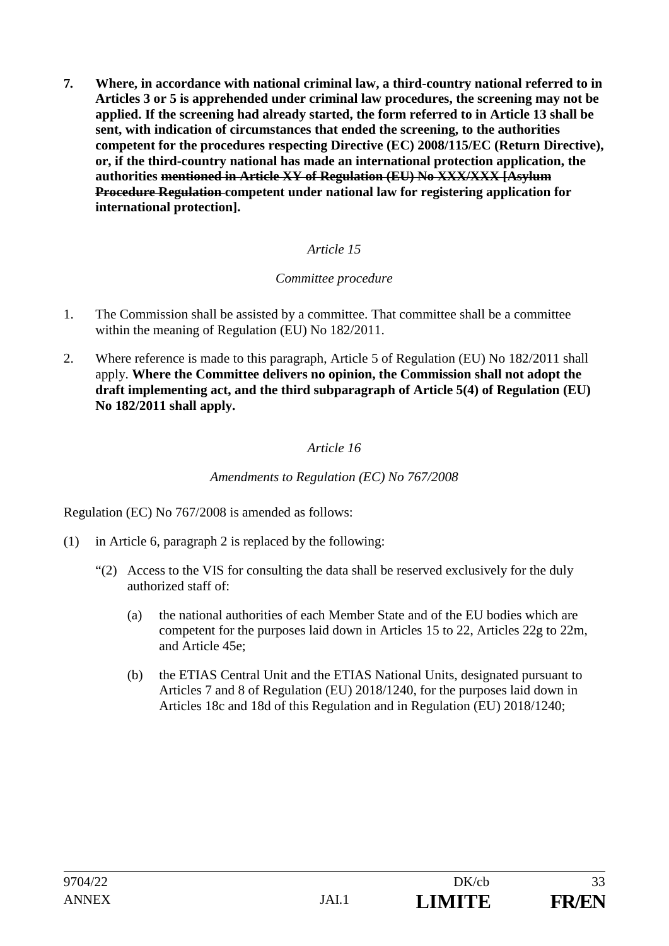**7***.* **Where, in accordance with national criminal law, a third-country national referred to in Articles 3 or 5 is apprehended under criminal law procedures, the screening may not be applied. If the screening had already started, the form referred to in Article 13 shall be sent, with indication of circumstances that ended the screening, to the authorities competent for the procedures respecting Directive (EC) 2008/115/EC (Return Directive), or, if the third-country national has made an international protection application, the authorities mentioned in Article XY of Regulation (EU) No XXX/XXX [Asylum Procedure Regulation competent under national law for registering application for international protection].**

# *Article 15*

# *Committee procedure*

- 1. The Commission shall be assisted by a committee. That committee shall be a committee within the meaning of Regulation (EU) No 182/2011.
- 2. Where reference is made to this paragraph, Article 5 of Regulation (EU) No 182/2011 shall apply. **Where the Committee delivers no opinion, the Commission shall not adopt the draft implementing act, and the third subparagraph of Article 5(4) of Regulation (EU) No 182/2011 shall apply.**

# *Article 16*

*Amendments to Regulation (EC) No 767/2008* 

Regulation (EC) No 767/2008 is amended as follows:

- (1) in Article 6, paragraph 2 is replaced by the following:
	- "(2) Access to the VIS for consulting the data shall be reserved exclusively for the duly authorized staff of:
		- (a) the national authorities of each Member State and of the EU bodies which are competent for the purposes laid down in Articles 15 to 22, Articles 22g to 22m, and Article 45e;
		- (b) the ETIAS Central Unit and the ETIAS National Units, designated pursuant to Articles 7 and 8 of Regulation (EU) 2018/1240, for the purposes laid down in Articles 18c and 18d of this Regulation and in Regulation (EU) 2018/1240;

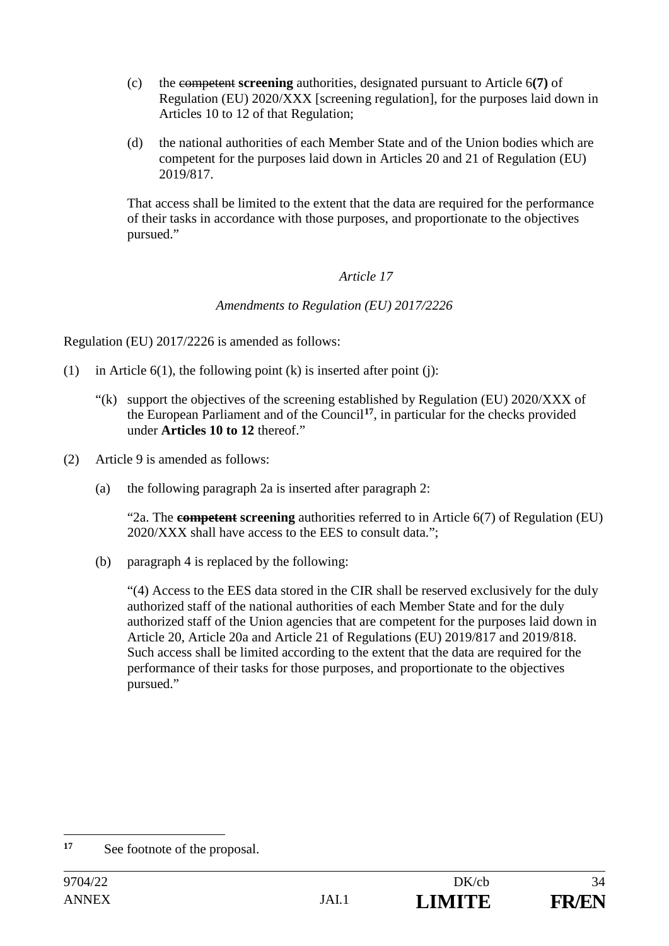- (c) the competent **screening** authorities, designated pursuant to Article 6**(7)** of Regulation (EU) 2020/XXX [screening regulation], for the purposes laid down in Articles 10 to 12 of that Regulation;
- (d) the national authorities of each Member State and of the Union bodies which are competent for the purposes laid down in Articles 20 and 21 of Regulation (EU) 2019/817.

That access shall be limited to the extent that the data are required for the performance of their tasks in accordance with those purposes, and proportionate to the objectives pursued."

# *Article 17*

# *Amendments to Regulation (EU) 2017/2226*

Regulation (EU) 2017/2226 is amended as follows:

- (1) in Article  $6(1)$ , the following point (k) is inserted after point (j):
	- "(k) support the objectives of the screening established by Regulation (EU) 2020/XXX of the European Parliament and of the Council**<sup>17</sup>**, in particular for the checks provided under **Articles 10 to 12** thereof."
- (2) Article 9 is amended as follows:
	- (a) the following paragraph 2a is inserted after paragraph 2:

"2a. The **competent screening** authorities referred to in Article 6(7) of Regulation (EU) 2020/XXX shall have access to the EES to consult data.";

(b) paragraph 4 is replaced by the following:

"(4) Access to the EES data stored in the CIR shall be reserved exclusively for the duly authorized staff of the national authorities of each Member State and for the duly authorized staff of the Union agencies that are competent for the purposes laid down in Article 20, Article 20a and Article 21 of Regulations (EU) 2019/817 and 2019/818. Such access shall be limited according to the extent that the data are required for the performance of their tasks for those purposes, and proportionate to the objectives pursued."



<sup>&</sup>lt;u>.</u> **17** See footnote of the proposal.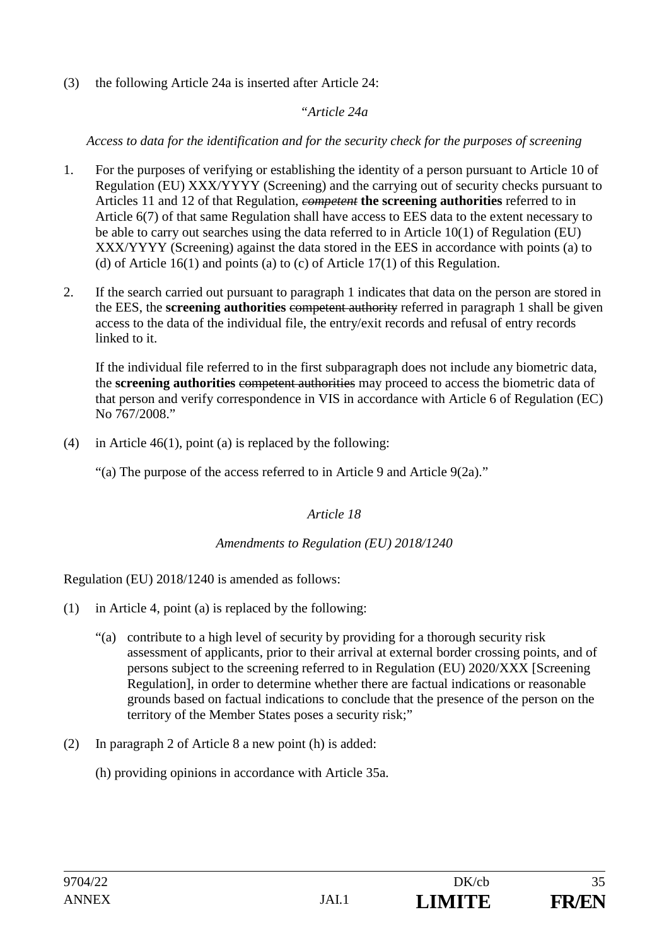(3) the following Article 24a is inserted after Article 24:

# *"Article 24a*

*Access to data for the identification and for the security check for the purposes of screening* 

- 1. For the purposes of verifying or establishing the identity of a person pursuant to Article 10 of Regulation (EU) XXX/YYYY (Screening) and the carrying out of security checks pursuant to Articles 11 and 12 of that Regulation, *competent* **the screening authorities** referred to in Article 6(7) of that same Regulation shall have access to EES data to the extent necessary to be able to carry out searches using the data referred to in Article 10(1) of Regulation (EU) XXX/YYYY (Screening) against the data stored in the EES in accordance with points (a) to (d) of Article 16(1) and points (a) to (c) of Article 17(1) of this Regulation.
- 2. If the search carried out pursuant to paragraph 1 indicates that data on the person are stored in the EES, the **screening authorities** competent authority referred in paragraph 1 shall be given access to the data of the individual file, the entry/exit records and refusal of entry records linked to it.

If the individual file referred to in the first subparagraph does not include any biometric data, the **screening authorities** competent authorities may proceed to access the biometric data of that person and verify correspondence in VIS in accordance with Article 6 of Regulation (EC) No 767/2008."

(4) in Article 46(1), point (a) is replaced by the following:

"(a) The purpose of the access referred to in Article 9 and Article 9(2a)."

*Article 18*

# *Amendments to Regulation (EU) 2018/1240*

Regulation (EU) 2018/1240 is amended as follows:

- (1) in Article 4, point (a) is replaced by the following:
	- "(a) contribute to a high level of security by providing for a thorough security risk assessment of applicants, prior to their arrival at external border crossing points, and of persons subject to the screening referred to in Regulation (EU) 2020/XXX [Screening Regulation], in order to determine whether there are factual indications or reasonable grounds based on factual indications to conclude that the presence of the person on the territory of the Member States poses a security risk;"
- (2) In paragraph 2 of Article 8 a new point (h) is added:
	- (h) providing opinions in accordance with Article 35a.

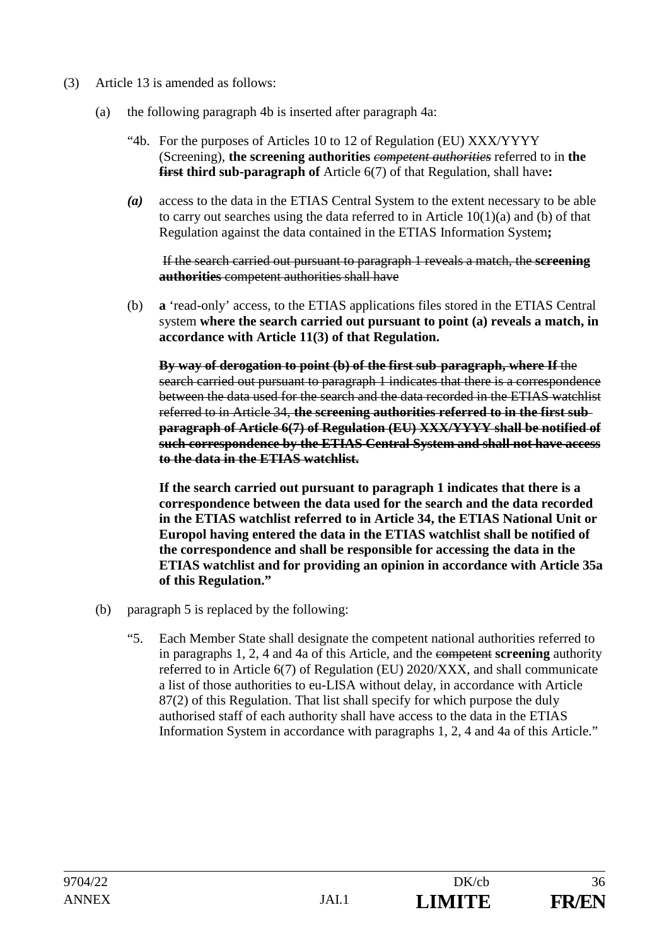- (3) Article 13 is amended as follows:
	- (a) the following paragraph 4b is inserted after paragraph 4a:
		- "4b. For the purposes of Articles 10 to 12 of Regulation (EU) XXX/YYYY (Screening), **the screening authorities** *competent authorities* referred to in **the first third sub-paragraph of** Article 6(7) of that Regulation, shall have**:**
		- *(a)* access to the data in the ETIAS Central System to the extent necessary to be able to carry out searches using the data referred to in Article 10(1)(a) and (b) of that Regulation against the data contained in the ETIAS Information System**;**

 If the search carried out pursuant to paragraph 1 reveals a match, the **screening authorities** competent authorities shall have

(b) **a** 'read-only' access, to the ETIAS applications files stored in the ETIAS Central system **where the search carried out pursuant to point (a) reveals a match, in accordance with Article 11(3) of that Regulation.** 

**By way of derogation to point (b) of the first sub paragraph, where If** the search carried out pursuant to paragraph 1 indicates that there is a correspondence between the data used for the search and the data recorded in the ETIAS watchlist referred to in Article 34, **the screening authorities referred to in the first sub paragraph of Article 6(7) of Regulation (EU) XXX/YYYY shall be notified of such correspondence by the ETIAS Central System and shall not have access to the data in the ETIAS watchlist.** 

**If the search carried out pursuant to paragraph 1 indicates that there is a correspondence between the data used for the search and the data recorded in the ETIAS watchlist referred to in Article 34, the ETIAS National Unit or Europol having entered the data in the ETIAS watchlist shall be notified of the correspondence and shall be responsible for accessing the data in the ETIAS watchlist and for providing an opinion in accordance with Article 35a of this Regulation."**

- (b) paragraph 5 is replaced by the following:
	- "5. Each Member State shall designate the competent national authorities referred to in paragraphs 1, 2, 4 and 4a of this Article, and the competent **screening** authority referred to in Article 6(7) of Regulation (EU) 2020/XXX, and shall communicate a list of those authorities to eu-LISA without delay, in accordance with Article 87(2) of this Regulation. That list shall specify for which purpose the duly authorised staff of each authority shall have access to the data in the ETIAS Information System in accordance with paragraphs 1, 2, 4 and 4a of this Article."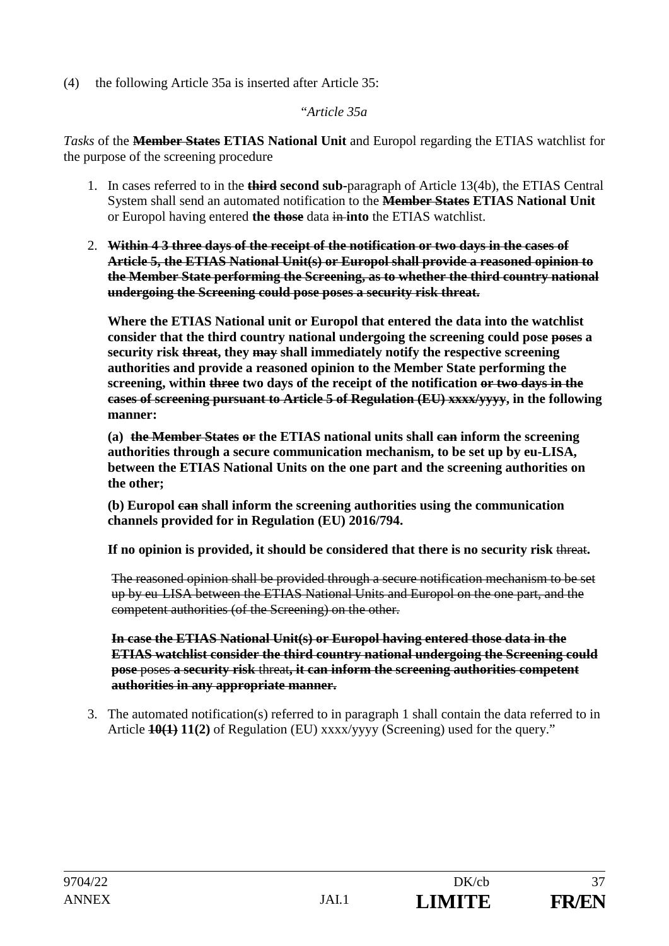(4) the following Article 35a is inserted after Article 35:

"*Article 35a*

*Tasks* of the **Member States ETIAS National Unit** and Europol regarding the ETIAS watchlist for the purpose of the screening procedure

- 1. In cases referred to in the **third second sub-**paragraph of Article 13(4b), the ETIAS Central System shall send an automated notification to the **Member States ETIAS National Unit** or Europol having entered **the those** data in **into** the ETIAS watchlist.
- 2. **Within 4 3 three days of the receipt of the notification or two days in the cases of Article 5, the ETIAS National Unit(s) or Europol shall provide a reasoned opinion to the Member State performing the Screening, as to whether the third country national undergoing the Screening could pose poses a security risk threat.**

**Where the ETIAS National unit or Europol that entered the data into the watchlist consider that the third country national undergoing the screening could pose poses a security risk threat, they may shall immediately notify the respective screening authorities and provide a reasoned opinion to the Member State performing the screening, within three two days of the receipt of the notification or two days in the cases of screening pursuant to Article 5 of Regulation (EU) xxxx/yyyy, in the following manner:**

**(a) the Member States or the ETIAS national units shall can inform the screening authorities through a secure communication mechanism, to be set up by eu-LISA, between the ETIAS National Units on the one part and the screening authorities on the other;**

**(b) Europol can shall inform the screening authorities using the communication channels provided for in Regulation (EU) 2016/794.** 

If no opinion is provided, it should be considered that there is no security risk threat.

The reasoned opinion shall be provided through a secure notification mechanism to be set up by eu LISA between the ETIAS National Units and Europol on the one part, and the competent authorities (of the Screening) on the other.

**In case the ETIAS National Unit(s) or Europol having entered those data in the ETIAS watchlist consider the third country national undergoing the Screening could pose** poses **a security risk** threat**, it can inform the screening authorities competent authorities in any appropriate manner.**

3. The automated notification(s) referred to in paragraph 1 shall contain the data referred to in Article **10(1) 11(2)** of Regulation (EU) xxxx/yyyy (Screening) used for the query."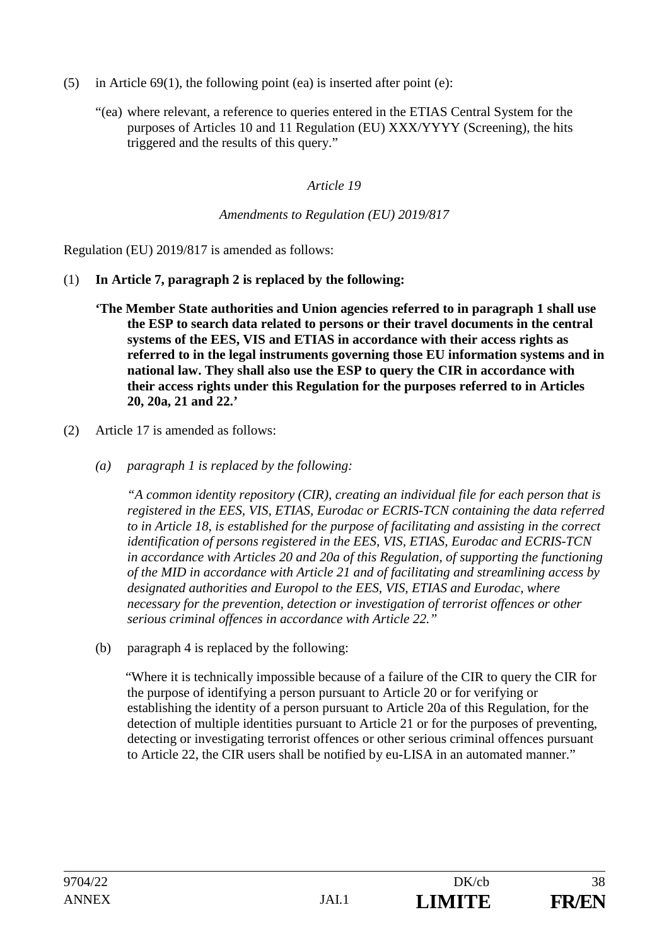- (5) in Article  $69(1)$ , the following point (ea) is inserted after point (e):
	- "(ea) where relevant, a reference to queries entered in the ETIAS Central System for the purposes of Articles 10 and 11 Regulation (EU) XXX/YYYY (Screening), the hits triggered and the results of this query."

#### *Amendments to Regulation (EU) 2019/817*

Regulation (EU) 2019/817 is amended as follows:

- (1) **In Article 7, paragraph 2 is replaced by the following:** 
	- **'The Member State authorities and Union agencies referred to in paragraph 1 shall use the ESP to search data related to persons or their travel documents in the central systems of the EES, VIS and ETIAS in accordance with their access rights as referred to in the legal instruments governing those EU information systems and in national law. They shall also use the ESP to query the CIR in accordance with their access rights under this Regulation for the purposes referred to in Articles 20, 20a, 21 and 22.'**
- (2) Article 17 is amended as follows:
	- *(a) paragraph 1 is replaced by the following:*

*"A common identity repository (CIR), creating an individual file for each person that is registered in the EES, VIS, ETIAS, Eurodac or ECRIS-TCN containing the data referred to in Article 18, is established for the purpose of facilitating and assisting in the correct identification of persons registered in the EES, VIS, ETIAS, Eurodac and ECRIS-TCN in accordance with Articles 20 and 20a of this Regulation, of supporting the functioning of the MID in accordance with Article 21 and of facilitating and streamlining access by designated authorities and Europol to the EES, VIS, ETIAS and Eurodac, where necessary for the prevention, detection or investigation of terrorist offences or other serious criminal offences in accordance with Article 22."* 

(b) paragraph 4 is replaced by the following:

"Where it is technically impossible because of a failure of the CIR to query the CIR for the purpose of identifying a person pursuant to Article 20 or for verifying or establishing the identity of a person pursuant to Article 20a of this Regulation, for the detection of multiple identities pursuant to Article 21 or for the purposes of preventing, detecting or investigating terrorist offences or other serious criminal offences pursuant to Article 22, the CIR users shall be notified by eu-LISA in an automated manner."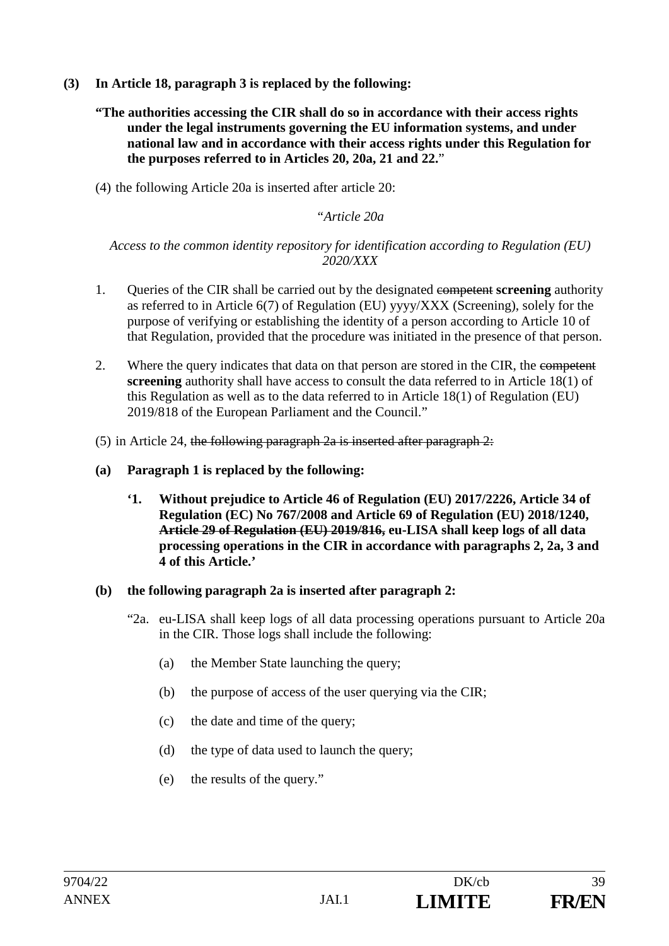- **(3) In Article 18, paragraph 3 is replaced by the following:** 
	- **"The authorities accessing the CIR shall do so in accordance with their access rights under the legal instruments governing the EU information systems, and under national law and in accordance with their access rights under this Regulation for the purposes referred to in Articles 20, 20a, 21 and 22.**"
	- (4) the following Article 20a is inserted after article 20:

#### *"Article 20a*

*Access to the common identity repository for identification according to Regulation (EU) 2020/XXX* 

- 1. Queries of the CIR shall be carried out by the designated competent **screening** authority as referred to in Article 6(7) of Regulation (EU) yyyy/XXX (Screening), solely for the purpose of verifying or establishing the identity of a person according to Article 10 of that Regulation, provided that the procedure was initiated in the presence of that person.
- 2. Where the query indicates that data on that person are stored in the CIR, the competent **screening** authority shall have access to consult the data referred to in Article 18(1) of this Regulation as well as to the data referred to in Article 18(1) of Regulation (EU) 2019/818 of the European Parliament and the Council."
- (5) in Article 24, the following paragraph 2a is inserted after paragraph 2:
- **(a) Paragraph 1 is replaced by the following:** 
	- **'1. Without prejudice to Article 46 of Regulation (EU) 2017/2226, Article 34 of Regulation (EC) No 767/2008 and Article 69 of Regulation (EU) 2018/1240, Article 29 of Regulation (EU) 2019/816, eu-LISA shall keep logs of all data processing operations in the CIR in accordance with paragraphs 2, 2a, 3 and 4 of this Article.'**
- **(b) the following paragraph 2a is inserted after paragraph 2:** 
	- "2a. eu-LISA shall keep logs of all data processing operations pursuant to Article 20a in the CIR. Those logs shall include the following:
		- (a) the Member State launching the query;
		- (b) the purpose of access of the user querying via the CIR;
		- (c) the date and time of the query;
		- (d) the type of data used to launch the query;
		- (e) the results of the query."